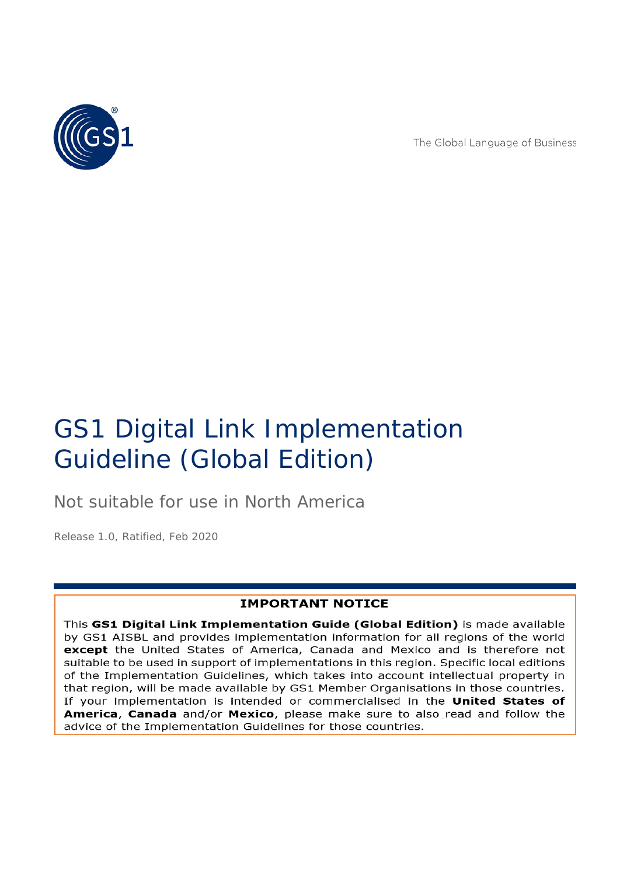

The Global Language of Business

# GS1 Digital Link Implementation Guideline (Global Edition)

Not suitable for use in North America

*Release 1.0, Ratified, Feb 2020*

### **IMPORTANT NOTICE**

This GS1 Digital Link Implementation Guide (Global Edition) is made available by GS1 AISBL and provides implementation information for all regions of the world except the United States of America, Canada and Mexico and is therefore not suitable to be used in support of implementations in this region. Specific local editions of the Implementation Guidelines, which takes into account intellectual property in that region, will be made available by GS1 Member Organisations in those countries. If your implementation is intended or commercialised in the United States of **America, Canada** and/or Mexico, please make sure to also read and follow the advice of the Implementation Guidelines for those countries.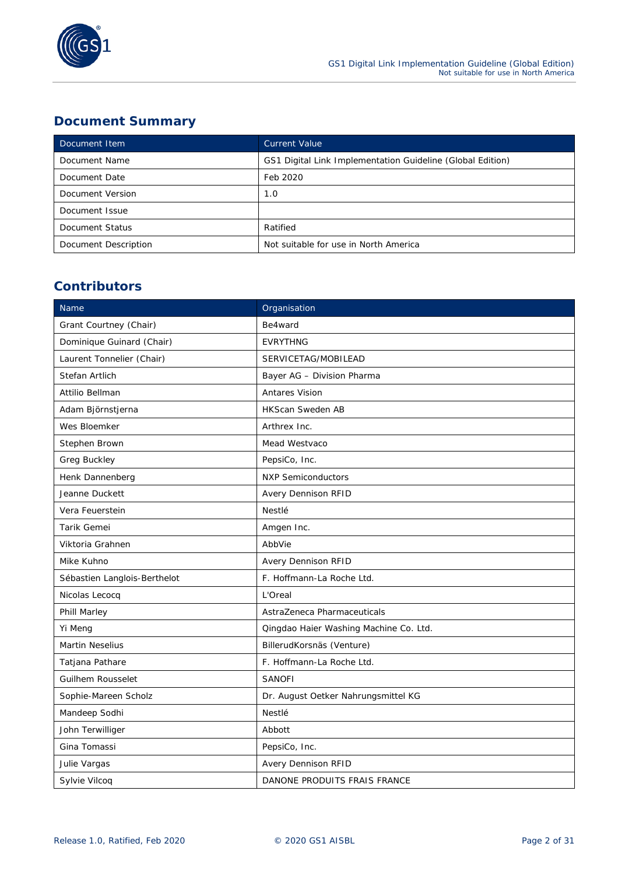

### **Document Summary**

| Document Item        | <b>Current Value</b>                                       |  |
|----------------------|------------------------------------------------------------|--|
| Document Name        | GS1 Digital Link Implementation Guideline (Global Edition) |  |
| Document Date        | Feb 2020                                                   |  |
| Document Version     | 1.0                                                        |  |
| Document Issue       |                                                            |  |
| Document Status      | Ratified                                                   |  |
| Document Description | Not suitable for use in North America                      |  |

### **Contributors**

| Name                                              | Organisation                        |  |
|---------------------------------------------------|-------------------------------------|--|
| Be4ward<br>Grant Courtney (Chair)                 |                                     |  |
| Dominique Guinard (Chair)                         | <b>EVRYTHNG</b>                     |  |
| Laurent Tonnelier (Chair)                         | SERVICETAG/MOBILEAD                 |  |
| Stefan Artlich                                    | Bayer AG - Division Pharma          |  |
| Attilio Bellman                                   | <b>Antares Vision</b>               |  |
| Adam Björnstjerna                                 | <b>HKScan Sweden AB</b>             |  |
| Wes Bloemker                                      | Arthrex Inc.                        |  |
| Stephen Brown                                     | Mead Westvaco                       |  |
| Greg Buckley                                      | PepsiCo, Inc.                       |  |
| Henk Dannenberg                                   | <b>NXP Semiconductors</b>           |  |
| Jeanne Duckett                                    | Avery Dennison RFID                 |  |
| Vera Feuerstein                                   | Nestlé                              |  |
| Tarik Gemei                                       | Amgen Inc.                          |  |
| Viktoria Grahnen                                  | AbbVie                              |  |
| Mike Kuhno                                        | <b>Avery Dennison RFID</b>          |  |
| Sébastien Langlois-Berthelot                      | F. Hoffmann-La Roche Ltd.           |  |
| Nicolas Lecocq                                    | L'Oreal                             |  |
| Phill Marley<br>AstraZeneca Pharmaceuticals       |                                     |  |
| Yi Meng<br>Qingdao Haier Washing Machine Co. Ltd. |                                     |  |
| <b>Martin Neselius</b>                            | BillerudKorsnäs (Venture)           |  |
| Tatjana Pathare                                   | F. Hoffmann-La Roche Ltd.           |  |
| Guilhem Rousselet                                 | <b>SANOFI</b>                       |  |
| Sophie-Mareen Scholz                              | Dr. August Oetker Nahrungsmittel KG |  |
| Mandeep Sodhi                                     | Nestlé                              |  |
| John Terwilliger                                  | Abbott                              |  |
| Gina Tomassi                                      | PepsiCo, Inc.                       |  |
| Julie Vargas                                      | <b>Avery Dennison RFID</b>          |  |
| Sylvie Vilcoq                                     | DANONE PRODUITS FRAIS FRANCE        |  |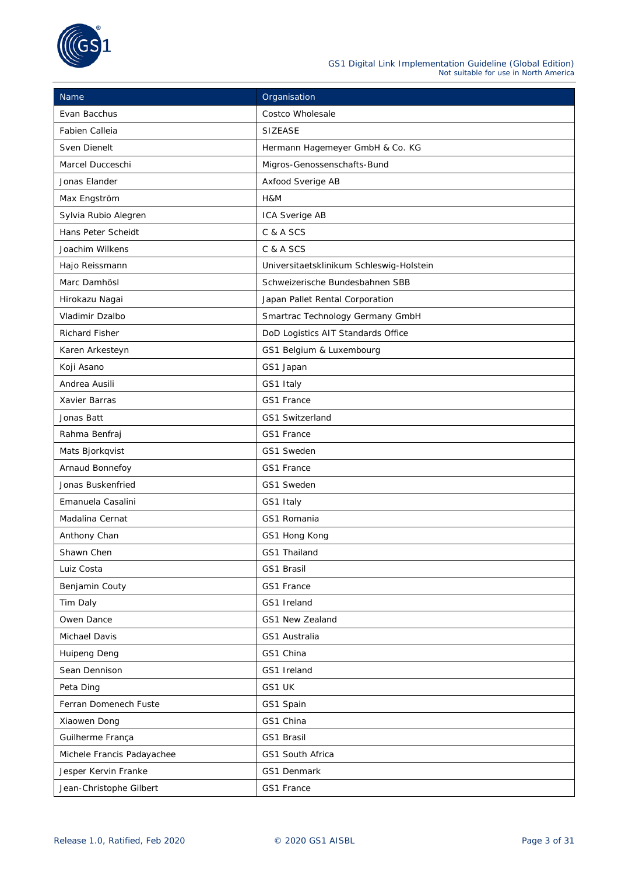

| Name                                | Organisation                             |  |
|-------------------------------------|------------------------------------------|--|
| Evan Bacchus                        | Costco Wholesale                         |  |
| Fabien Calleia                      | <b>SIZEASE</b>                           |  |
| Sven Dienelt                        | Hermann Hagemeyer GmbH & Co. KG          |  |
| Marcel Ducceschi                    | Migros-Genossenschafts-Bund              |  |
| Jonas Elander                       | Axfood Sverige AB                        |  |
| Max Engström                        | H&M                                      |  |
| Sylvia Rubio Alegren                | ICA Sverige AB                           |  |
| Hans Peter Scheidt                  | C & A SCS                                |  |
| Joachim Wilkens                     | C & A SCS                                |  |
| Hajo Reissmann                      | Universitaetsklinikum Schleswig-Holstein |  |
| Marc Damhösl                        | Schweizerische Bundesbahnen SBB          |  |
| Hirokazu Nagai                      | Japan Pallet Rental Corporation          |  |
| Vladimir Dzalbo                     | Smartrac Technology Germany GmbH         |  |
| <b>Richard Fisher</b>               | DoD Logistics AIT Standards Office       |  |
| Karen Arkesteyn                     | GS1 Belgium & Luxembourg                 |  |
| Koji Asano                          | GS1 Japan                                |  |
| Andrea Ausili                       | GS1 Italy                                |  |
| Xavier Barras                       | GS1 France                               |  |
| Jonas Batt                          | GS1 Switzerland                          |  |
| Rahma Benfraj                       | GS1 France                               |  |
| Mats Bjorkqvist                     | GS1 Sweden                               |  |
| Arnaud Bonnefoy<br>GS1 France       |                                          |  |
| Jonas Buskenfried<br>GS1 Sweden     |                                          |  |
| Emanuela Casalini<br>GS1 Italy      |                                          |  |
| GS1 Romania<br>Madalina Cernat      |                                          |  |
| Anthony Chan<br>GS1 Hong Kong       |                                          |  |
| Shawn Chen                          | GS1 Thailand                             |  |
| Luiz Costa                          | GS1 Brasil                               |  |
| Benjamin Couty                      | GS1 France                               |  |
| Tim Daly                            | GS1 Ireland                              |  |
| Owen Dance                          | GS1 New Zealand                          |  |
| Michael Davis                       | GS1 Australia                            |  |
| Huipeng Deng                        | GS1 China                                |  |
| Sean Dennison                       | GS1 Ireland                              |  |
| Peta Ding                           | GS1 UK                                   |  |
| Ferran Domenech Fuste<br>GS1 Spain  |                                          |  |
| Xiaowen Dong                        | GS1 China                                |  |
| Guilherme França                    | GS1 Brasil                               |  |
| Michele Francis Padayachee          | GS1 South Africa                         |  |
| Jesper Kervin Franke<br>GS1 Denmark |                                          |  |
| Jean-Christophe Gilbert             | GS1 France                               |  |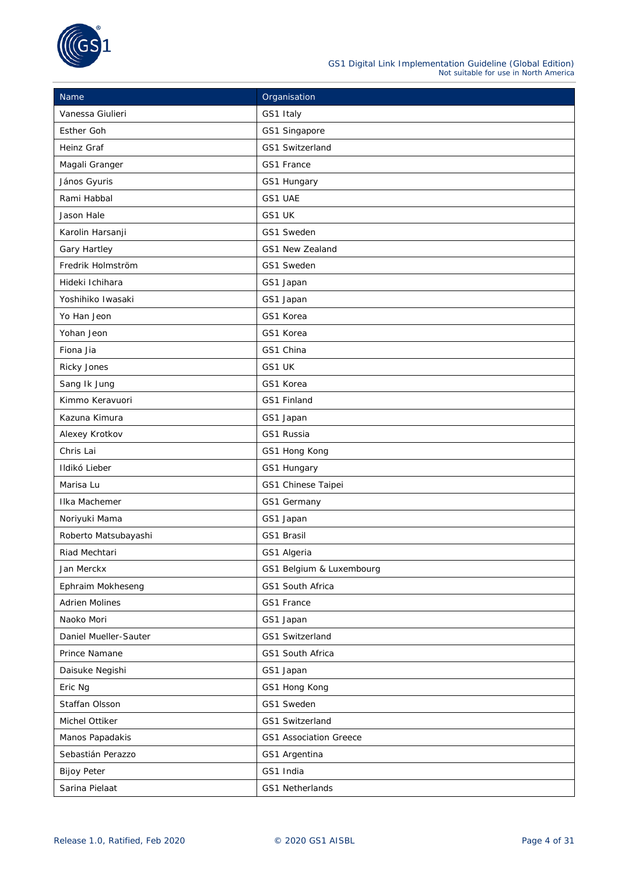

| Name                               | Organisation                  |  |
|------------------------------------|-------------------------------|--|
| Vanessa Giulieri                   | GS1 Italy                     |  |
| Esther Goh                         | GS1 Singapore                 |  |
| Heinz Graf                         | GS1 Switzerland               |  |
| Magali Granger                     | GS1 France                    |  |
| János Gyuris                       | GS1 Hungary                   |  |
| Rami Habbal                        | GS1 UAE                       |  |
| Jason Hale                         | GS1 UK                        |  |
| Karolin Harsanji                   | GS1 Sweden                    |  |
| Gary Hartley                       | GS1 New Zealand               |  |
| Fredrik Holmström                  | GS1 Sweden                    |  |
| Hideki Ichihara                    | GS1 Japan                     |  |
| Yoshihiko Iwasaki                  | GS1 Japan                     |  |
| Yo Han Jeon                        | GS1 Korea                     |  |
| Yohan Jeon                         | GS1 Korea                     |  |
| Fiona Jia                          | GS1 China                     |  |
| Ricky Jones                        | GS1 UK                        |  |
| Sang Ik Jung                       | GS1 Korea                     |  |
| Kimmo Keravuori                    | GS1 Finland                   |  |
| Kazuna Kimura                      | GS1 Japan                     |  |
| Alexey Krotkov                     | GS1 Russia                    |  |
| Chris Lai                          | GS1 Hong Kong                 |  |
| Ildikó Lieber                      | GS1 Hungary                   |  |
| Marisa Lu                          | GS1 Chinese Taipei            |  |
| GS1 Germany<br>Ilka Machemer       |                               |  |
| Noriyuki Mama                      | GS1 Japan                     |  |
| Roberto Matsubayashi<br>GS1 Brasil |                               |  |
| Riad Mechtari                      | GS1 Algeria                   |  |
| Jan Merckx                         | GS1 Belgium & Luxembourg      |  |
| Ephraim Mokheseng                  | GS1 South Africa              |  |
| <b>Adrien Molines</b>              | GS1 France                    |  |
| Naoko Mori                         | GS1 Japan                     |  |
| Daniel Mueller-Sauter              | GS1 Switzerland               |  |
| Prince Namane                      | GS1 South Africa              |  |
| Daisuke Negishi                    | GS1 Japan                     |  |
| Eric Ng                            | GS1 Hong Kong                 |  |
| Staffan Olsson                     | GS1 Sweden                    |  |
| Michel Ottiker                     | GS1 Switzerland               |  |
| Manos Papadakis                    | <b>GS1 Association Greece</b> |  |
| Sebastián Perazzo                  | GS1 Argentina                 |  |
| <b>Bijoy Peter</b>                 | GS1 India                     |  |
| Sarina Pielaat                     | GS1 Netherlands               |  |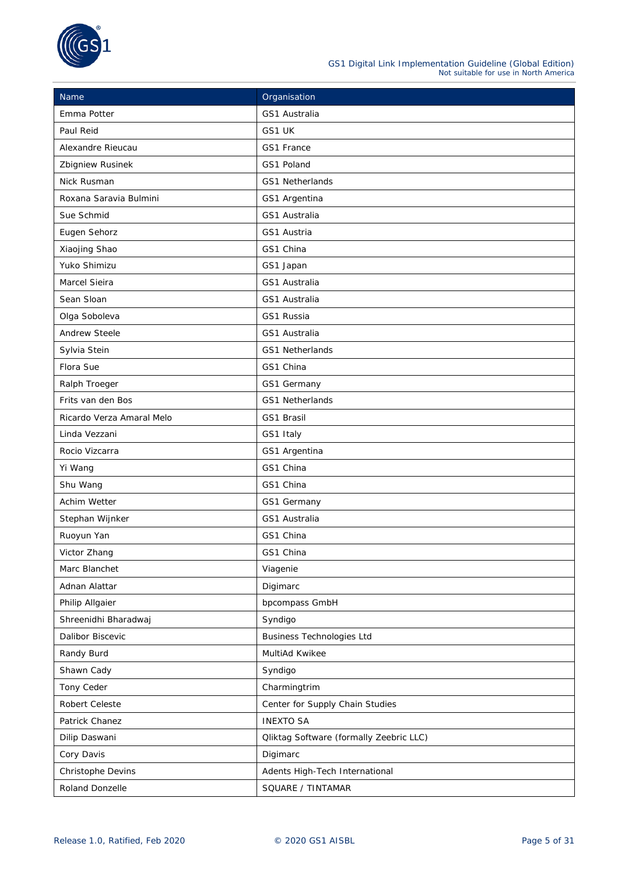

| Name                                                | Organisation                                   |  |
|-----------------------------------------------------|------------------------------------------------|--|
| Emma Potter                                         | GS1 Australia                                  |  |
| Paul Reid                                           | GS1 UK                                         |  |
| Alexandre Rieucau<br>GS1 France                     |                                                |  |
| Zbigniew Rusinek                                    | GS1 Poland                                     |  |
| Nick Rusman                                         | GS1 Netherlands                                |  |
| Roxana Saravia Bulmini                              | GS1 Argentina                                  |  |
| Sue Schmid                                          | GS1 Australia                                  |  |
| Eugen Sehorz                                        | GS1 Austria                                    |  |
| Xiaojing Shao                                       | GS1 China                                      |  |
| Yuko Shimizu                                        | GS1 Japan                                      |  |
| Marcel Sieira                                       | GS1 Australia                                  |  |
| Sean Sloan                                          | GS1 Australia                                  |  |
| Olga Soboleva                                       | GS1 Russia                                     |  |
| <b>Andrew Steele</b>                                | GS1 Australia                                  |  |
| Sylvia Stein                                        | GS1 Netherlands                                |  |
| Flora Sue                                           | GS1 China                                      |  |
| Ralph Troeger                                       | GS1 Germany                                    |  |
| Frits van den Bos                                   | GS1 Netherlands                                |  |
| Ricardo Verza Amaral Melo                           | GS1 Brasil                                     |  |
| Linda Vezzani                                       | GS1 Italy                                      |  |
| GS1 Argentina<br>Rocio Vizcarra                     |                                                |  |
| Yi Wang                                             | GS1 China                                      |  |
| Shu Wang                                            | GS1 China                                      |  |
| Achim Wetter<br>GS1 Germany                         |                                                |  |
| Stephan Wijnker                                     | GS1 Australia                                  |  |
| Ruoyun Yan                                          | GS1 China                                      |  |
| Victor Zhang                                        | GS1 China                                      |  |
| Marc Blanchet                                       | Viagenie                                       |  |
| Adnan Alattar                                       | Digimarc                                       |  |
| Philip Allgaier                                     | bpcompass GmbH                                 |  |
| Shreenidhi Bharadwaj                                | Syndigo                                        |  |
| Dalibor Biscevic                                    | Business Technologies Ltd                      |  |
| Randy Burd                                          | MultiAd Kwikee                                 |  |
| Shawn Cady                                          | Syndigo                                        |  |
| Tony Ceder                                          | Charmingtrim                                   |  |
| Robert Celeste                                      | Center for Supply Chain Studies                |  |
| Patrick Chanez                                      | <b>INEXTO SA</b>                               |  |
| Dilip Daswani                                       | <b>Qliktag Software (formally Zeebric LLC)</b> |  |
| Cory Davis<br>Digimarc                              |                                                |  |
| Christophe Devins<br>Adents High-Tech International |                                                |  |
| Roland Donzelle<br>SQUARE / TINTAMAR                |                                                |  |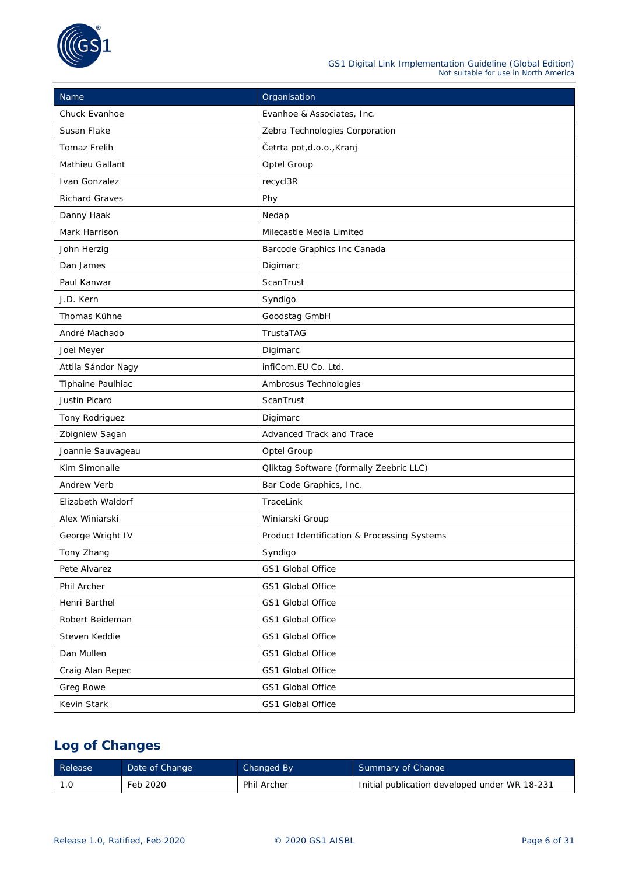

| Name                                       | Organisation                                   |  |
|--------------------------------------------|------------------------------------------------|--|
| Chuck Evanhoe                              | Evanhoe & Associates, Inc.                     |  |
| Susan Flake                                | Zebra Technologies Corporation                 |  |
| <b>Tomaz Frelih</b>                        | Četrta pot,d.o.o., Kranj                       |  |
| Mathieu Gallant                            | Optel Group                                    |  |
| Ivan Gonzalez                              | recycl3R                                       |  |
| <b>Richard Graves</b>                      | Phy                                            |  |
| Danny Haak                                 | Nedap                                          |  |
| Mark Harrison                              | Milecastle Media Limited                       |  |
| John Herzig                                | Barcode Graphics Inc Canada                    |  |
| Dan James                                  | Digimarc                                       |  |
| Paul Kanwar                                | ScanTrust                                      |  |
| J.D. Kern                                  | Syndigo                                        |  |
| Thomas Kühne                               | Goodstag GmbH                                  |  |
| André Machado                              | TrustaTAG                                      |  |
| Joel Meyer                                 | Digimarc                                       |  |
| Attila Sándor Nagy                         | infiCom.EU Co. Ltd.                            |  |
| Tiphaine Paulhiac                          | Ambrosus Technologies                          |  |
| Justin Picard                              | ScanTrust                                      |  |
| Tony Rodriguez                             | Digimarc                                       |  |
| Zbigniew Sagan<br>Advanced Track and Trace |                                                |  |
| Joannie Sauvageau                          | Optel Group                                    |  |
| Kim Simonalle                              | <b>Qliktag Software (formally Zeebric LLC)</b> |  |
| Andrew Verb                                | Bar Code Graphics, Inc.                        |  |
| Elizabeth Waldorf                          | TraceLink                                      |  |
| Alex Winiarski                             | Winiarski Group                                |  |
| George Wright IV                           | Product Identification & Processing Systems    |  |
| Tony Zhang                                 | Syndigo                                        |  |
| Pete Alvarez                               | GS1 Global Office                              |  |
| Phil Archer                                | GS1 Global Office                              |  |
| Henri Barthel                              | GS1 Global Office                              |  |
| Robert Beideman                            | GS1 Global Office                              |  |
| Steven Keddie                              | GS1 Global Office                              |  |
| Dan Mullen                                 | GS1 Global Office                              |  |
| Craig Alan Repec                           | GS1 Global Office                              |  |
| Greg Rowe                                  | GS1 Global Office                              |  |
| Kevin Stark                                | GS1 Global Office                              |  |

### **Log of Changes**

| Release | Date of Change | Changed By         | Summary of Change                             |
|---------|----------------|--------------------|-----------------------------------------------|
|         | Feb 2020       | <b>Phil Archer</b> | Initial publication developed under WR 18-231 |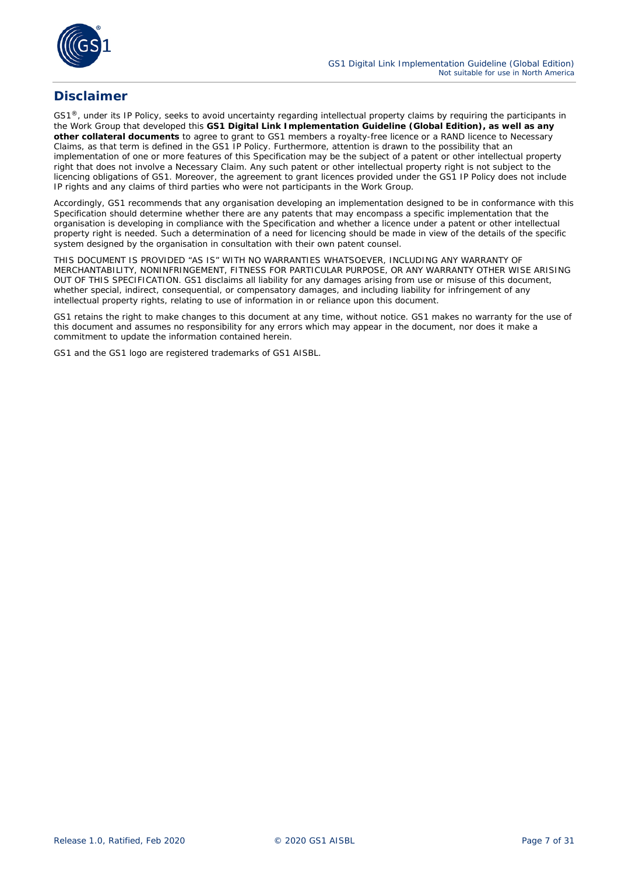

### **Disclaimer**

GS1<sup>®</sup>, under its IP Policy, seeks to avoid uncertainty regarding intellectual property claims by requiring the participants in the Work Group that developed this **GS1 Digital Link Implementation Guideline (Global Edition), as well as any other collateral documents** to agree to grant to GS1 members a royalty-free licence or a RAND licence to Necessary Claims, as that term is defined in the GS1 IP Policy. Furthermore, attention is drawn to the possibility that an implementation of one or more features of this Specification may be the subject of a patent or other intellectual property right that does not involve a Necessary Claim. Any such patent or other intellectual property right is not subject to the licencing obligations of GS1. Moreover, the agreement to grant licences provided under the GS1 IP Policy does not include IP rights and any claims of third parties who were not participants in the Work Group.

Accordingly, GS1 recommends that any organisation developing an implementation designed to be in conformance with this Specification should determine whether there are any patents that may encompass a specific implementation that the organisation is developing in compliance with the Specification and whether a licence under a patent or other intellectual property right is needed. Such a determination of a need for licencing should be made in view of the details of the specific system designed by the organisation in consultation with their own patent counsel.

THIS DOCUMENT IS PROVIDED "AS IS" WITH NO WARRANTIES WHATSOEVER, INCLUDING ANY WARRANTY OF MERCHANTABILITY, NONINFRINGEMENT, FITNESS FOR PARTICULAR PURPOSE, OR ANY WARRANTY OTHER WISE ARISING OUT OF THIS SPECIFICATION. GS1 disclaims all liability for any damages arising from use or misuse of this document, whether special, indirect, consequential, or compensatory damages, and including liability for infringement of any intellectual property rights, relating to use of information in or reliance upon this document.

GS1 retains the right to make changes to this document at any time, without notice. GS1 makes no warranty for the use of this document and assumes no responsibility for any errors which may appear in the document, nor does it make a commitment to update the information contained herein.

GS1 and the GS1 logo are registered trademarks of GS1 AISBL.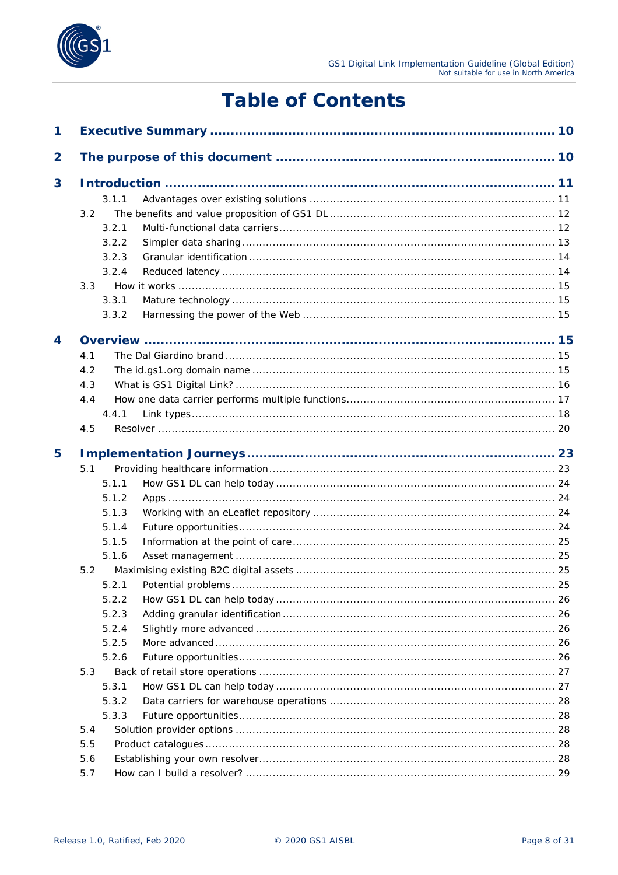

# **Table of Contents**

| 1                       |     |       |    |
|-------------------------|-----|-------|----|
| $\overline{\mathbf{2}}$ |     |       |    |
| 3                       |     |       |    |
|                         |     | 3.1.1 |    |
|                         | 3.2 |       |    |
|                         |     | 3.2.1 |    |
|                         |     | 3.2.2 |    |
|                         |     | 3.2.3 |    |
|                         |     | 3.2.4 |    |
|                         | 3.3 |       |    |
|                         |     | 3.3.1 |    |
|                         |     | 3.3.2 |    |
| 4                       |     |       |    |
|                         | 4.1 |       |    |
|                         | 4.2 |       |    |
|                         | 4.3 |       |    |
|                         | 4.4 |       |    |
|                         |     | 4.4.1 |    |
|                         | 4.5 |       |    |
| 5                       |     |       |    |
|                         | 5.1 |       |    |
|                         |     | 5.1.1 |    |
|                         |     | 5.1.2 |    |
|                         |     | 5.1.3 |    |
|                         |     | 5.1.4 |    |
|                         |     | 5.1.5 |    |
|                         |     | 5.1.6 |    |
|                         | 5.2 |       |    |
|                         |     | 5.2.1 | 25 |
|                         |     | 5.2.2 |    |
|                         |     | 5.2.3 |    |
|                         |     | 5.2.4 |    |
|                         |     | 5.2.5 |    |
|                         |     | 5.2.6 |    |
|                         | 5.3 |       |    |
|                         |     | 5.3.1 |    |
|                         |     | 5.3.2 |    |
|                         |     | 5.3.3 |    |
|                         | 5.4 |       |    |
|                         | 5.5 |       |    |
|                         | 5.6 |       |    |
|                         | 5.7 |       |    |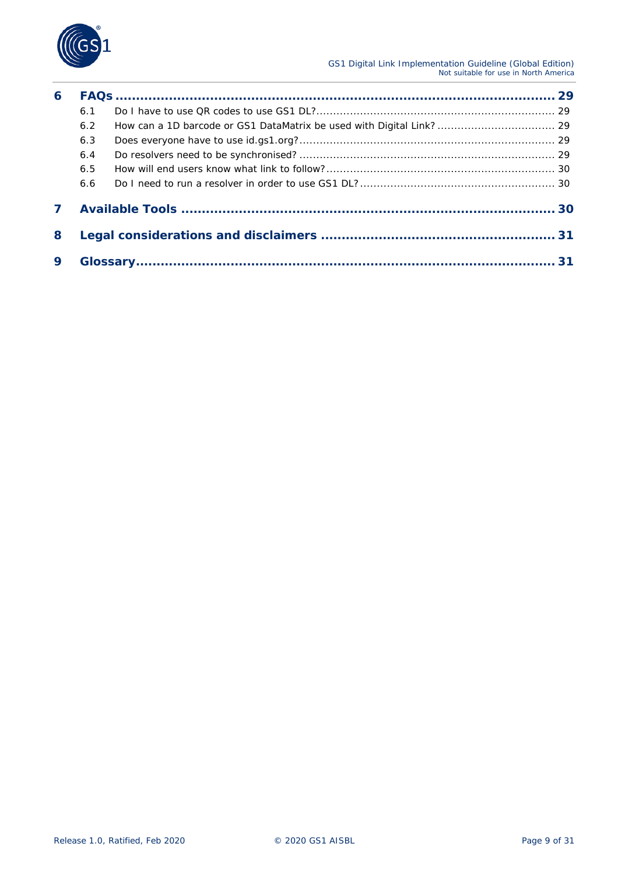

| 6 |     |  |
|---|-----|--|
|   | 6.1 |  |
|   | 6.2 |  |
|   | 6.3 |  |
|   | 6.4 |  |
|   | 6.5 |  |
|   | 6.6 |  |
| 7 |     |  |
| 8 |     |  |
| 9 |     |  |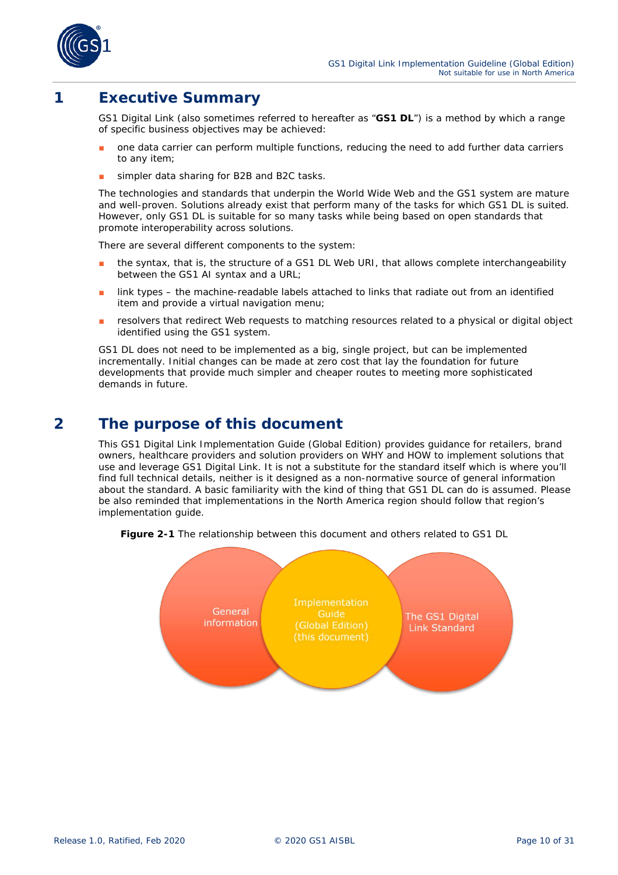

### <span id="page-9-0"></span>**1 Executive Summary**

GS1 Digital Link (also sometimes referred to hereafter as "**GS1 DL**") is a method by which a range of specific business objectives may be achieved:

- one data carrier can perform multiple functions, reducing the need to add further data carriers to any item;
- simpler data sharing for B2B and B2C tasks.

The technologies and standards that underpin the World Wide Web and the GS1 system are mature and well-proven. Solutions already exist that perform many of the tasks for which GS1 DL is suited. However, *only* GS1 DL is suitable for so many tasks while being based on open standards that promote interoperability across solutions.

There are several different components to the system:

- the syntax, that is, the structure of a GS1 DL Web URI, that allows complete interchangeability between the GS1 AI syntax and a URL;
- link types the machine-readable labels attached to links that radiate out from an identified item and provide a virtual navigation menu;
- resolvers that redirect Web requests to matching resources related to a physical or digital object identified using the GS1 system.

GS1 DL does not need to be implemented as a big, single project, but can be implemented incrementally. Initial changes can be made at zero cost that lay the foundation for future developments that provide much simpler and cheaper routes to meeting more sophisticated demands in future.

### <span id="page-9-1"></span>**2 The purpose of this document**

This GS1 Digital Link Implementation Guide (Global Edition) provides guidance for retailers, brand owners, healthcare providers and solution providers on WHY and HOW to implement solutions that use and leverage GS1 Digital Link. It is not a substitute for the standard itself which is where you'll find full technical details, neither is it designed as a non-normative source of general information about the standard. A basic familiarity with the kind of thing that GS1 DL can do is assumed. Please be also reminded that implementations in the North America region should follow that region's implementation guide.



**Figure 2-1** The relationship between this document and others related to GS1 DL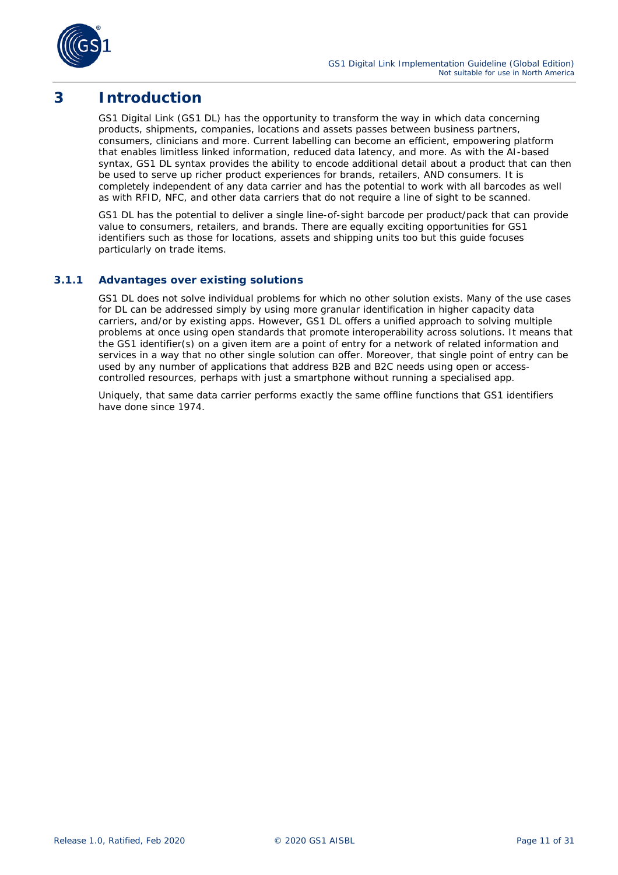

### <span id="page-10-0"></span>**3 Introduction**

GS1 Digital Link (GS1 DL) has the opportunity to transform the way in which data concerning products, shipments, companies, locations and assets passes between business partners, consumers, clinicians and more. Current labelling can become an efficient, empowering platform that enables limitless linked information, reduced data latency, and more. As with the AI-based syntax, GS1 DL syntax provides the ability to encode additional detail about a product that can then be used to serve up richer product experiences for brands, retailers, AND consumers. It is completely independent of any data carrier and has the potential to work with all barcodes as well as with RFID, NFC, and other data carriers that do not require a line of sight to be scanned.

GS1 DL has the potential to deliver a single line-of-sight barcode per product/pack that can provide value to consumers, retailers, and brands. There are equally exciting opportunities for GS1 identifiers such as those for locations, assets and shipping units too but this guide focuses particularly on trade items.

#### <span id="page-10-1"></span>**3.1.1 Advantages over existing solutions**

GS1 DL does not solve individual problems for which no other solution exists. Many of the use cases for DL can be addressed simply by using more granular identification in higher capacity data carriers, and/or by existing apps. However, GS1 DL offers a unified approach to solving multiple problems at once using open standards that promote interoperability across solutions. It means that the GS1 identifier(s) on a given item are a point of entry for a network of related information and services in a way that no other single solution can offer. Moreover, that single point of entry can be used by any number of applications that address B2B and B2C needs using open or accesscontrolled resources, perhaps with just a smartphone without running a specialised app.

Uniquely, that same data carrier performs exactly the same *offline* functions that GS1 identifiers have done since 1974.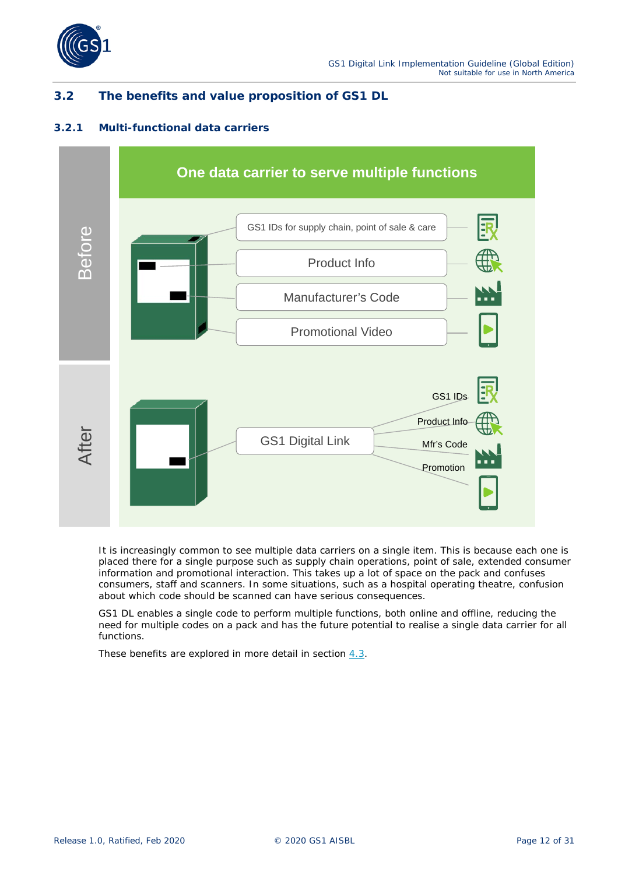

### <span id="page-11-0"></span>**3.2 The benefits and value proposition of GS1 DL**

#### <span id="page-11-1"></span>**3.2.1 Multi-functional data carriers**



It is increasingly common to see multiple data carriers on a single item. This is because each one is placed there for a single purpose such as supply chain operations, point of sale, extended consumer information and promotional interaction. This takes up a lot of space on the pack and confuses consumers, staff and scanners. In some situations, such as a hospital operating theatre, confusion about which code should be scanned can have serious consequences.

GS1 DL enables a *single* code to perform *multiple* functions, both online and offline, reducing the need for multiple codes on a pack and has the future potential to realise a single data carrier for all functions.

These benefits are explored in more detail in section *[4.3](#page-15-0)*.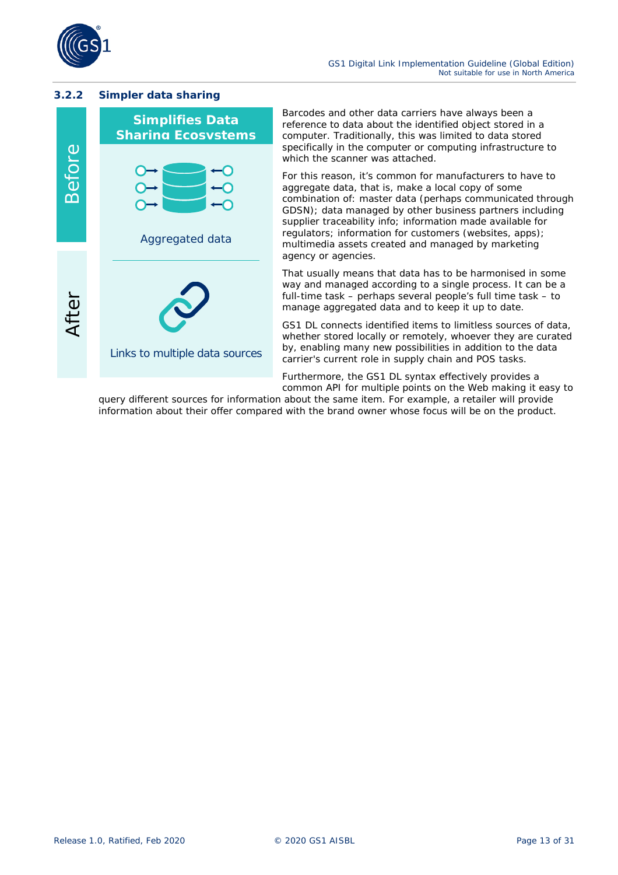

#### <span id="page-12-0"></span>**3.2.2 Simpler data sharing**



Barcodes and other data carriers have always been a reference to data about the identified object stored in a computer. Traditionally, this was limited to data stored specifically in the computer or computing infrastructure to which the scanner was attached.

For this reason, it's common for manufacturers to have to aggregate data, that is, make a local copy of some combination of: master data (perhaps communicated through GDSN); data managed by other business partners including supplier traceability info; information made available for regulators; information for customers (websites, apps); multimedia assets created and managed by marketing agency or agencies.

That usually means that data has to be harmonised in some way and managed according to a single process. It can be a full-time task – perhaps several people's full time task – to manage aggregated data and to keep it up to date.

GS1 DL connects identified items to limitless sources of data, whether stored locally or remotely, whoever they are curated by, enabling many new possibilities in addition to the data carrier's current role in supply chain and POS tasks.

Furthermore, the GS1 DL syntax effectively provides a *common API* for multiple points on the Web making it easy to

query different sources for information about the same item. For example, a retailer will provide information about their offer compared with the brand owner whose focus will be on the product.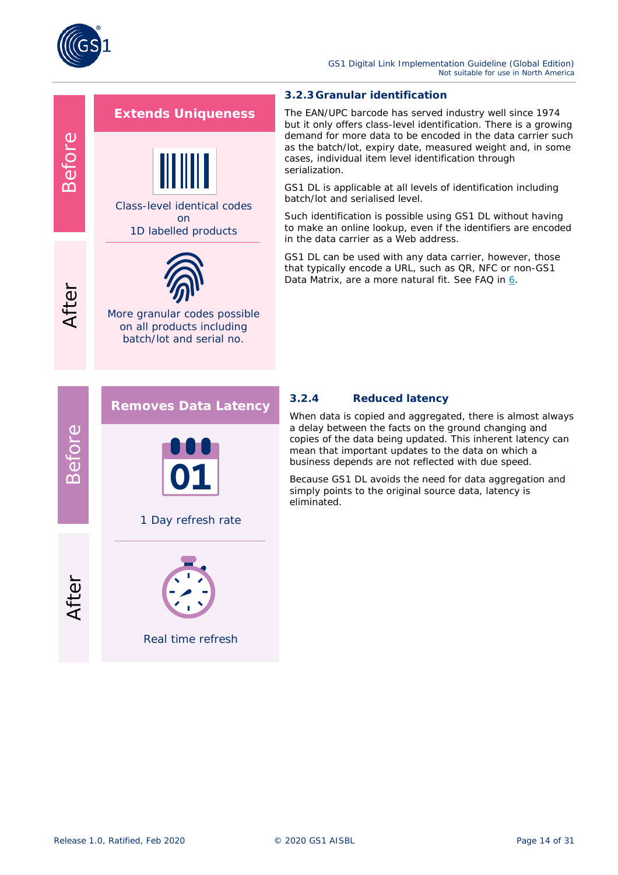

Before

After

#### GS1 Digital Link Implementation Guideline (Global Edition) *Not suitable for use in North America*

### **Extends Uniqueness**



Class-level identical codes on

1D labelled products



More granular codes possible on all products including batch/lot and serial no.

#### <span id="page-13-0"></span>**3.2.3Granular identification**

The EAN/UPC barcode has served industry well since 1974 but it only offers class-level identification. There is a growing demand for more data to be encoded in the data carrier such as the batch/lot, expiry date, measured weight and, in some cases, individual item level identification through serialization.

GS1 DL is applicable at all levels of identification including batch/lot and serialised level.

Such identification is possible using GS1 DL *without* having to make an online lookup, even if the identifiers are encoded in the data carrier as a Web address.

GS1 DL can be used with *any* data carrier, however, those that typically encode a URL, such as QR, NFC or non-GS1 Data Matrix, are a more natural fit. See FAQ in *[6](#page-28-1)*.



#### <span id="page-13-1"></span>**3.2.4 Reduced latency**

When data is copied and aggregated, there is almost always a delay between the facts on the ground changing and copies of the data being updated. This inherent latency can mean that important updates to the data on which a business depends are not reflected with due speed.

Because GS1 DL avoids the need for data aggregation and simply points to the original source data, latency is eliminated.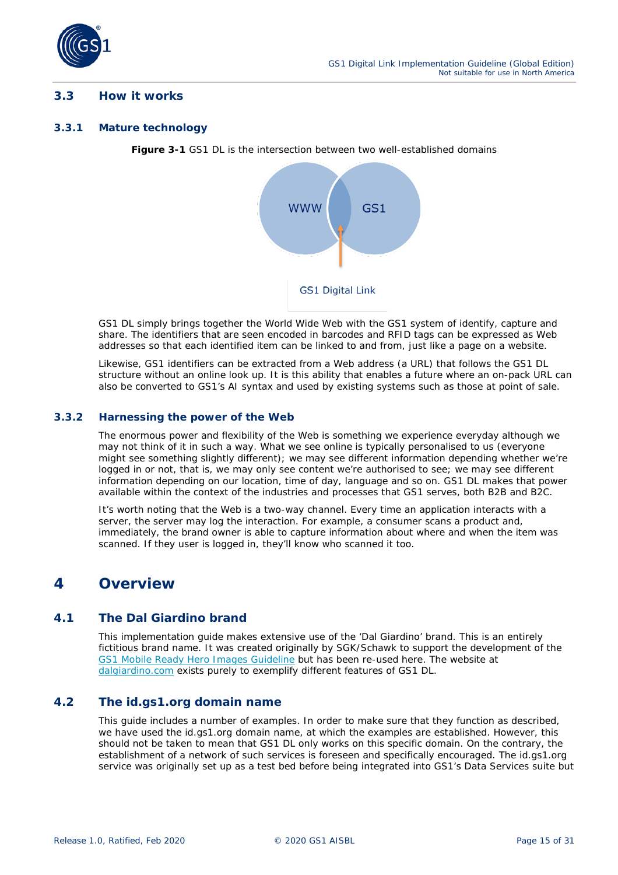

#### <span id="page-14-0"></span>**3.3 How it works**

#### <span id="page-14-1"></span>**3.3.1 Mature technology**

**Figure 3-1** GS1 DL is the intersection between two well-established domains



GS1 DL simply brings together the World Wide Web with the GS1 system of identify, capture and share. The identifiers that are seen encoded in barcodes and RFID tags can be expressed as Web addresses so that each identified item can be linked to and from, just like a page on a website.

Likewise, GS1 identifiers can be extracted from a Web address (a URL) that follows the GS1 DL structure *without* an online look up. It is this ability that enables a future where an on-pack URL can also be converted to GS1's AI syntax and used by existing systems such as those at point of sale.

#### <span id="page-14-2"></span>**3.3.2 Harnessing the power of the Web**

The enormous power and flexibility of the Web is something we experience everyday although we may not think of it in such a way. What we see online is typically personalised to us (everyone might see something slightly different); we may see different information depending whether we're logged in or not, that is, we may only see content we're authorised to see; we may see different information depending on our location, time of day, language and so on. GS1 DL makes that power available within the context of the industries and processes that GS1 serves, both B2B and B2C.

It's worth noting that the Web is a two-way channel. Every time an application interacts with a server, the server may log the interaction. For example, a consumer scans a product and, immediately, the brand owner is able to capture information about where and when the item was scanned. If they user is logged in, they'll know who scanned it too.

### <span id="page-14-3"></span>**4 Overview**

#### <span id="page-14-4"></span>**4.1 The Dal Giardino brand**

This implementation guide makes extensive use of the 'Dal Giardino' brand. This is an entirely fictitious brand name. It was created originally by SGK/Schawk to support the development of the *[GS1 Mobile Ready Hero Images Guideline](https://www.gs1.org/standards/Mobile-Ready-Hero-Image/)* but has been re-used here. The website at *[dalgiardino.com](https://dalgiardino.com/)* exists purely to exemplify different features of GS1 DL.

#### <span id="page-14-5"></span>**4.2 The id.gs1.org domain name**

This guide includes a number of examples. In order to make sure that they function as described, we have used the id.gs1.org domain name, at which the examples are established. However, this should not be taken to mean that GS1 DL only works on this specific domain. On the contrary, the establishment of a network of such services is foreseen and specifically encouraged. The id.gs1.org service was originally set up as a test bed before being integrated into GS1's Data Services suite but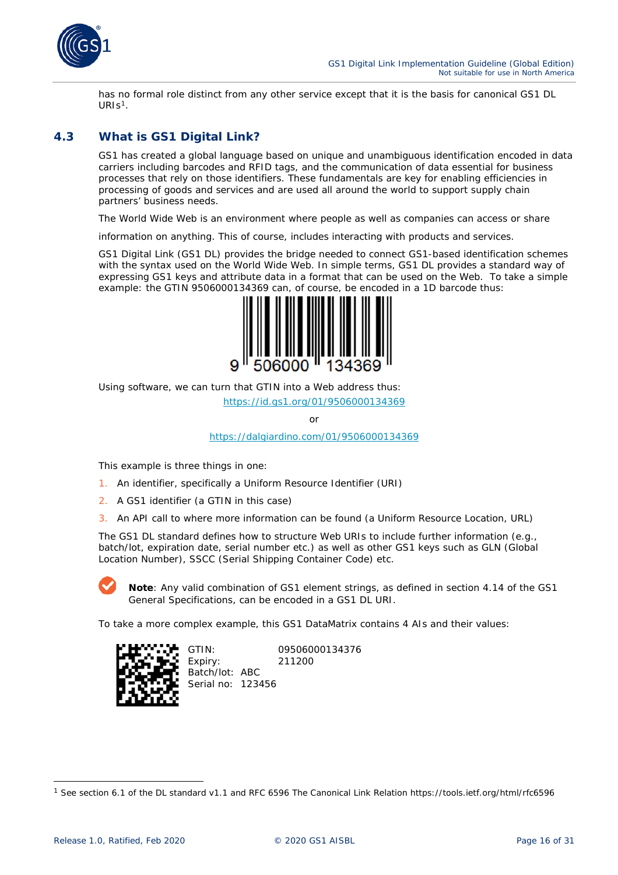

has no formal role distinct from any other service except that it is the basis for canonical GS1 DL  $URIs<sup>1</sup>$ .

### <span id="page-15-0"></span>**4.3 What is GS1 Digital Link?**

GS1 has created a global language based on unique and unambiguous identification encoded in data carriers including barcodes and RFID tags, and the communication of data essential for business processes that rely on those identifiers. These fundamentals are key for enabling efficiencies in processing of goods and services and are used all around the world to support supply chain partners' business needs.

The World Wide Web is an environment where people as well as companies can access or share

information on anything. This of course, includes interacting with products and services.

GS1 Digital Link (GS1 DL) provides the bridge needed to connect GS1-based identification schemes with the syntax used on the World Wide Web. In simple terms, GS1 DL provides a standard way of expressing GS1 keys and attribute data in a format that can be used on the Web. To take a simple example: the GTIN 9506000134369 can, of course, be encoded in a 1D barcode thus:



Using software, we can turn that GTIN into a Web address thus:

*<https://id.gs1.org/01/9506000134369>*

or

*<https://dalgiardino.com/01/9506000134369>*

This example is three things in one:

- 1. An identifier, specifically a Uniform Resource Identifier (URI)
- 2. A GS1 identifier (a GTIN in this case)
- 3. An API call to where more information can be found (a Uniform Resource Location, URL)

The GS1 DL standard defines how to structure Web URIs to include further information (e.g., batch/lot, expiration date, serial number etc.) as well as other GS1 keys such as GLN (Global Location Number), SSCC (Serial Shipping Container Code) etc.



*Note: Any* valid combination of GS1 element strings, as defined in section 4.14 of the GS1 General Specifications, can be encoded in a GS1 DL URI.

To take a more complex example, this GS1 DataMatrix contains 4 AIs and their values:



GTIN: 09506000134376 Expiry: 211200 Batch/lot: ABC Serial no: 123456

<span id="page-15-1"></span><sup>1</sup> See section 6.1 of the DL standard v1.1 and RFC 6596 The Canonical Link Relation https://tools.ietf.org/html/rfc6596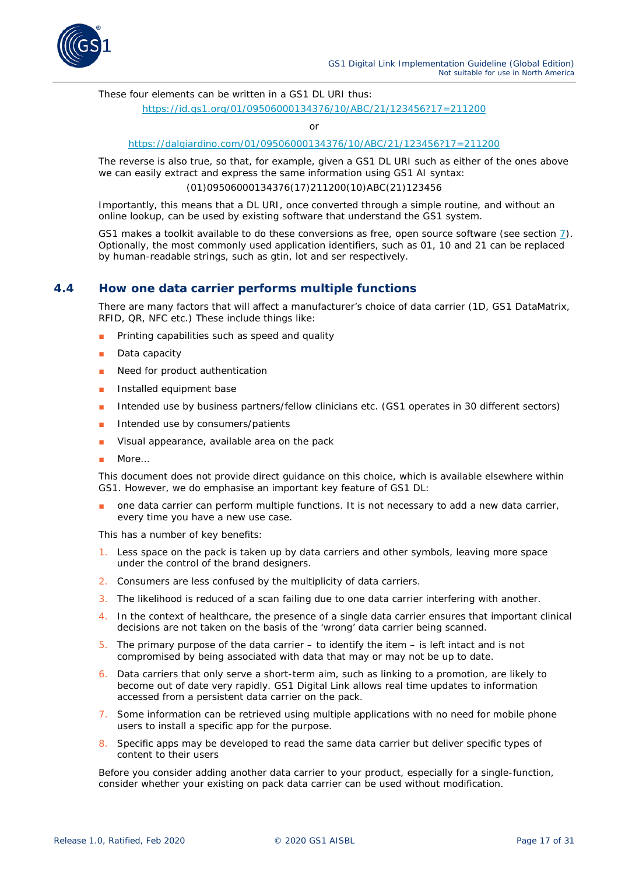

These four elements can be written in a GS1 DL URI thus:

#### *<https://id.gs1.org/01/09506000134376/10/ABC/21/123456?17=211200>*

or

#### *<https://dalgiardino.com/01/09506000134376/10/ABC/21/123456?17=211200>*

The reverse is also true, so that, for example, given a GS1 DL URI such as either of the ones above we can easily extract and express the same information using GS1 AI syntax:

(01)09506000134376(17)211200(10)ABC(21)123456

Importantly, this means that a DL URI, once converted through a simple routine, and *without* an online lookup, can be used by existing software that understand the GS1 system.

GS1 makes a toolkit available to do these conversions as free, open source software (see section *[7](#page-29-2)*). Optionally, the most commonly used application identifiers, such as 01, 10 and 21 can be replaced by human-readable strings, such as gtin, lot and ser respectively.

#### <span id="page-16-0"></span>**4.4 How one data carrier performs multiple functions**

There are many factors that will affect a manufacturer's choice of data carrier (1D, GS1 DataMatrix, RFID, QR, NFC etc.) These include things like:

- Printing capabilities such as speed and quality
- Data capacity
- Need for product authentication
- Installed equipment base
- Intended use by business partners/fellow clinicians etc. (GS1 operates in 30 different sectors)
- Intended use by consumers/patients
- Visual appearance, available area on the pack
- More…

This document does not provide direct guidance on this choice, which is available elsewhere within GS1. However, we do emphasise an important key feature of GS1 DL:

one data carrier can perform multiple functions. It is not necessary to add a new data carrier, every time you have a new use case.

This has a number of key benefits:

- 1. Less space on the pack is taken up by data carriers and other symbols, leaving more space under the control of the brand designers.
- 2. Consumers are less confused by the multiplicity of data carriers.
- 3. The likelihood is reduced of a scan failing due to one data carrier interfering with another.
- 4. In the context of healthcare, the presence of a single data carrier ensures that important clinical decisions are not taken on the basis of the 'wrong' data carrier being scanned.
- 5. The primary purpose of the data carrier  $-$  to identify the item  $-$  is left intact and is not compromised by being associated with data that may or may not be up to date.
- 6. Data carriers that *only* serve a short-term aim, such as linking to a promotion, are likely to become out of date very rapidly. GS1 Digital Link allows real time updates to information accessed from a persistent data carrier on the pack.
- 7. Some information can be retrieved using multiple applications with no need for mobile phone users to install a specific app for the purpose.
- 8. Specific apps may be developed to read the same data carrier but deliver specific types of content to their users

Before you consider adding another data carrier to your product, especially for a single-function, consider whether your existing on pack data carrier can be used without modification.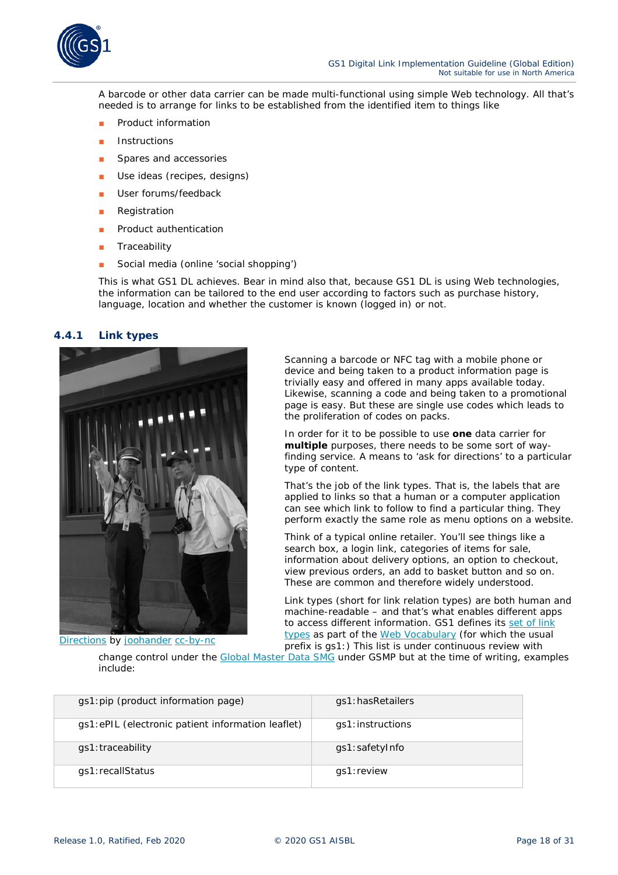

A barcode or other data carrier can be made multi-functional using simple Web technology. All that's needed is to arrange for links to be established *from* the identified item to things like

- Product information
- **Instructions**
- Spares and accessories
- Use ideas (recipes, designs)
- User forums/feedback
- Registration
- Product authentication
- Traceability
- Social media (online 'social shopping')

This is what GS1 DL achieves. Bear in mind also that, because GS1 DL is using Web technologies, the information can be tailored to the end user according to factors such as purchase history, language, location and whether the customer is known (logged in) or not.

#### <span id="page-17-0"></span>**4.4.1 Link types**



Scanning a barcode or NFC tag with a mobile phone or device and being taken to a product information page is trivially easy and offered in many apps available today. Likewise, scanning a code and being taken to a promotional page is easy. But these are single use codes which leads to the proliferation of codes on packs.

In order for it to be possible to use **one** data carrier for **multiple** purposes, there needs to be some sort of wayfinding service. A means to 'ask for directions' to a particular type of content.

That's the job of the *link types*. That is, the labels that are applied to links so that a human or a computer application can see which link to follow to find a particular thing. They perform exactly the same role as menu options on a website.

Think of a typical online retailer. You'll see things like a search box, a login link, categories of items for sale, information about delivery options, an option to checkout, view previous orders, an add to basket button and so on. These are common and therefore widely understood.

Link types (short for link relation types) are both human and machine-readable – and that's what enables different apps to access different information. GS1 defines its *[set of link](https://mh1.eu/voc/?show=linktypes)  [types](https://mh1.eu/voc/?show=linktypes)* as part of the *[Web Vocabulary](https://mh1.eu/voc/?show=linktypes)* (for which the usual prefix is gs1:) This list is under continuous review with

*[Directions](https://flic.kr/p/bWtRjg)* by *[joohander](https://www.flickr.com/photos/joohander/) [cc-by-nc](https://creativecommons.org/licenses/by-nc/2.0/)*

change control under the *[Global Master Data SMG](https://www.gs1.org/standards/development-work-groups#GMD)* under GSMP but at the time of writing, examples include:

| gs1: pip (product information page)               | gs1:hasRetailers |  |
|---------------------------------------------------|------------------|--|
| gs1:ePIL (electronic patient information leaflet) | gs1:instructions |  |
| qs1:traceability                                  | gs1:safetyInfo   |  |
| gs1:recallStatus                                  | gs1:review       |  |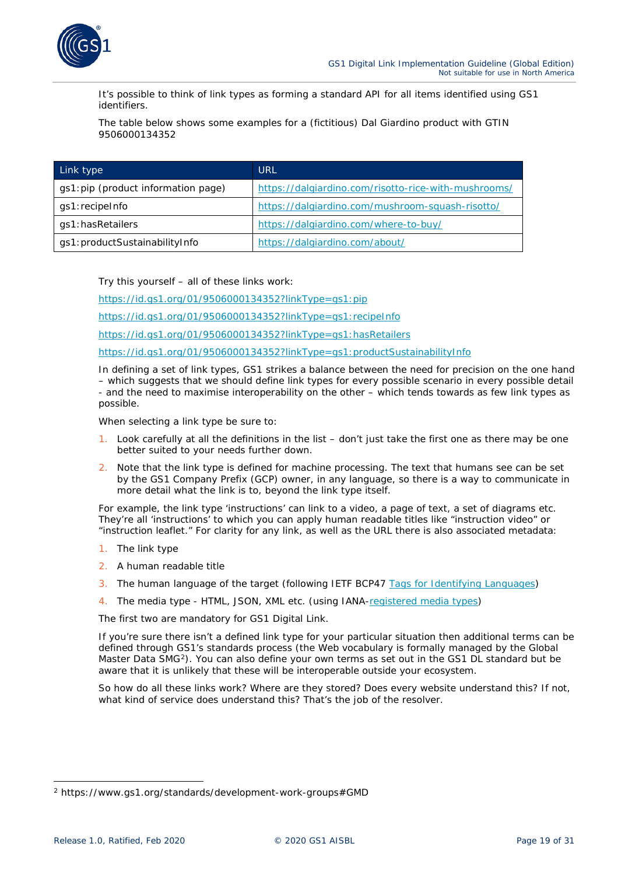

It's possible to think of link types as forming a standard API for all items identified using GS1 identifiers.

The table below shows some examples for a (fictitious) Dal Giardino product with GTIN 9506000134352

| Link type                           | URL                                                  |
|-------------------------------------|------------------------------------------------------|
| gs1: pip (product information page) | https://dalgiardino.com/risotto-rice-with-mushrooms/ |
| gs1:recipeInfo                      | https://dalgiardino.com/mushroom-squash-risotto/     |
| gs1: has Retailers                  | https://dalgiardino.com/where-to-buy/                |
| gs1: productSustainabilityInfo      | https://dalgiardino.com/about/                       |

Try this yourself – all of these links work:

*<https://id.gs1.org/01/9506000134352?linkType=gs1:pip>*

*<https://id.gs1.org/01/9506000134352?linkType=gs1:recipeInfo>*

*<https://id.gs1.org/01/9506000134352?linkType=gs1:hasRetailers>*

*<https://id.gs1.org/01/9506000134352?linkType=gs1:productSustainabilityInfo>*

In defining a set of link types, GS1 strikes a balance between the need for precision on the one hand – which suggests that we should define link types for every possible scenario in every possible detail - and the need to maximise interoperability on the other – which tends towards as few link types as possible.

When selecting a link type be sure to:

- 1. Look carefully at all the definitions in the list don't just take the first one as there may be one better suited to your needs further down.
- 2. Note that the link type is defined for machine processing. The text that humans see can be set by the GS1 Company Prefix (GCP) owner, in any language, so there *is* a way to communicate in more detail what the link is to, beyond the link type itself.

For example, the link type 'instructions' can link to a video, a page of text, a set of diagrams etc. They're all 'instructions' to which you can apply human readable titles like "instruction video" or "instruction leaflet." For clarity for any link, as well as the URL there is also associated metadata:

- 1. The link type
- 2. A human readable title
- 3. The human language of the target (following IETF BCP47 *[Tags for Identifying Languages](https://tools.ietf.org/html/bcp47)*)
- 4. The media type HTML, JSON, XML etc. (using IANA-*[registered media types](https://www.iana.org/assignments/media-types/media-types.xhtml)*)

The first two are mandatory for GS1 Digital Link.

If you're sure there isn't a defined link type for your particular situation then additional terms can be defined through GS1's standards process (the Web vocabulary is formally managed by the Global Master Data SMG<sup>[2](#page-18-0)</sup>). You can also define your own terms as set out in the GS1 DL standard but be aware that it is unlikely that these will be interoperable outside your ecosystem.

So how do all these links work? Where are they stored? Does every website understand this? If not, what kind of service does understand this? That's the job of the *resolver*.

<span id="page-18-0"></span><sup>2</sup> https://www.gs1.org/standards/development-work-groups#GMD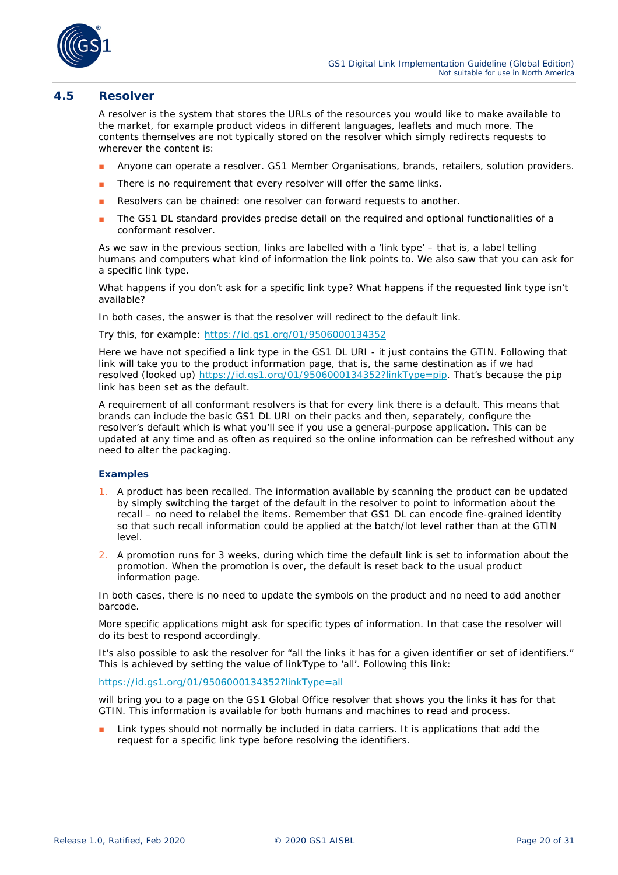

#### <span id="page-19-0"></span>**4.5 Resolver**

A resolver is the system that stores the URLs of the resources you would like to make available to the market, for example product videos in different languages, leaflets and much more. The contents themselves are not typically stored on the resolver which simply redirects requests to wherever the content is:

- Anyone can operate a resolver. GS1 Member Organisations, brands, retailers, solution providers.
- There is no requirement that every resolver will offer the same links.
- Resolvers can be chained: one resolver can forward requests to another.
- The GS1 DL standard provides precise detail on the required and optional functionalities of a conformant resolver.

As we saw in the previous section, links are labelled with a 'link type' – that is, a label telling humans and computers what kind of information the link points to. We also saw that you can ask for a specific link type.

What happens if you don't ask for a specific link type? What happens if the requested link type isn't available?

In both cases, the answer is that the resolver will redirect to the *default link*.

Try this, for example: *<https://id.gs1.org/01/9506000134352>*

Here we have not specified a link type in the GS1 DL URI - it just contains the GTIN. Following that link will take you to the product information page, that is, the same destination as if we had resolved (looked up) *<https://id.gs1.org/01/9506000134352?linkType=pip>*. That's because the pip link has been set as the default.

A requirement of all conformant resolvers is that for every link there is a default. This means that brands can include the basic GS1 DL URI on their packs and then, separately, configure the resolver's default which is what you'll see if you use a general-purpose application. This can be updated at any time and as often as required so the online information can be refreshed without any need to alter the packaging.

#### **Examples**

- 1. A product has been recalled. The information available by scanning the product can be updated by simply switching the target of the default in the resolver to point to information about the recall – no need to relabel the items. Remember that GS1 DL can encode fine-grained identity so that such recall information could be applied at the batch/lot level rather than at the GTIN level.
- 2. A promotion runs for 3 weeks, during which time the default link is set to information about the promotion. When the promotion is over, the default is reset back to the usual product information page.

In both cases, there is no need to update the symbols on the product and no need to add another barcode.

More specific applications might ask for specific types of information. In that case the resolver will do its best to respond accordingly.

It's also possible to ask the resolver for "all the links it has for a given identifier or set of identifiers." This is achieved by setting the value of linkType to 'all'. Following this link:

#### *<https://id.gs1.org/01/9506000134352?linkType=all>*

will bring you to a page on the GS1 Global Office resolver that shows you the links it has for that GTIN. This information is available for both humans and machines to read and process.

Link types should not normally be included in data carriers. It is applications that add the request for a specific link type before resolving the identifiers.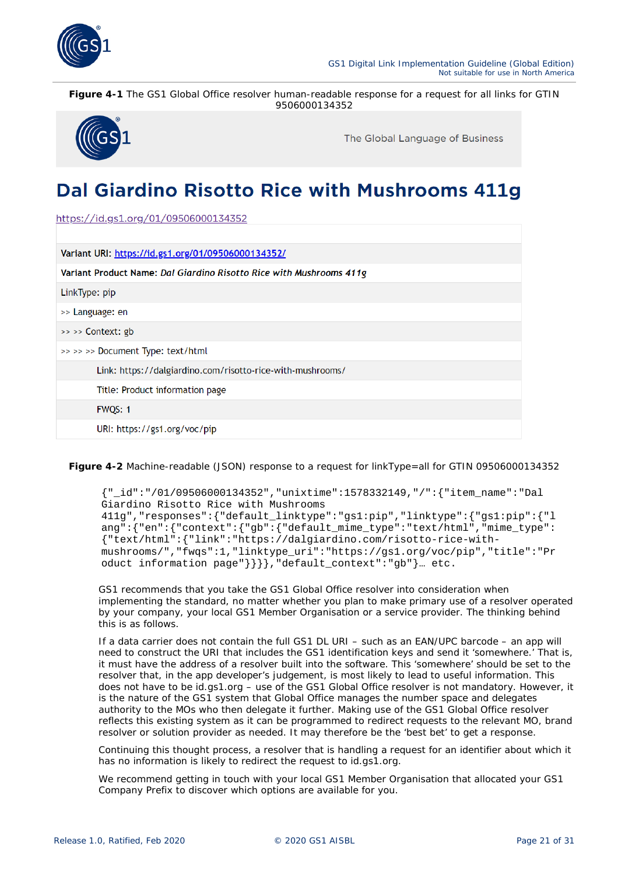

**Figure 4-1** The GS1 Global Office resolver human-readable response for a request for all links for GTIN 9506000134352



The Global Language of Business

## Dal Giardino Risotto Rice with Mushrooms 411g

https://id.gs1.org/01/09506000134352

| Variant URI: https://id.gs1.org/01/09506000134352/                  |
|---------------------------------------------------------------------|
| Variant Product Name: Dal Giardino Risotto Rice with Mushrooms 411g |
| LinkType: pip                                                       |
| >> Language: en                                                     |
| $\gg$ $\gg$ Context: gb                                             |
| >> >> >> Document Type: text/html                                   |
| Link: https://dalgiardino.com/risotto-rice-with-mushrooms/          |
| Title: Product information page                                     |
| <b>FWQS: 1</b>                                                      |
| URI: https://gs1.org/voc/pip                                        |

**Figure 4-2** Machine-readable (JSON) response to a request for linkType=all for GTIN 09506000134352

{"\_id":"/01/09506000134352","unixtime":1578332149,"/":{"item\_name":"Dal Giardino Risotto Rice with Mushrooms 411g","responses":{"default\_linktype":"gs1:pip","linktype":{"gs1:pip":{"l ang":{"en":{"context":{"gb":{"default\_mime\_type":"text/html","mime\_type": {"text/html":{"link":"https://dalgiardino.com/risotto-rice-withmushrooms/","fwqs":1,"linktype\_uri":"https://gs1.org/voc/pip","title":"Pr oduct information page"}}}},"default\_context":"gb"}… etc.

GS1 recommends that you take the GS1 Global Office resolver into consideration when implementing the standard, no matter whether you plan to make primary use of a resolver operated by your company, your local GS1 Member Organisation or a service provider. The thinking behind this is as follows.

If a data carrier does not contain the full GS1 DL URI – such as an EAN/UPC barcode – an app will need to construct the URI that includes the GS1 identification keys and send it 'somewhere.' That is, it must have the address of a resolver built into the software. This 'somewhere' should be set to the resolver that, in the app developer's judgement, is most likely to lead to useful information. This does not have to be id.gs1.org – use of the GS1 Global Office resolver is *not* mandatory. However, it is the nature of the GS1 system that Global Office manages the number space and delegates authority to the MOs who then delegate it further. Making use of the GS1 Global Office resolver reflects this existing system as it can be programmed to redirect requests to the relevant MO, brand resolver or solution provider as needed. It may therefore be the 'best bet' to get a response.

Continuing this thought process, a resolver that is handling a request for an identifier about which it has no information is likely to redirect the request to id.gs1.org.

We recommend getting in touch with your local GS1 Member Organisation that allocated your GS1 Company Prefix to discover which options are available for you.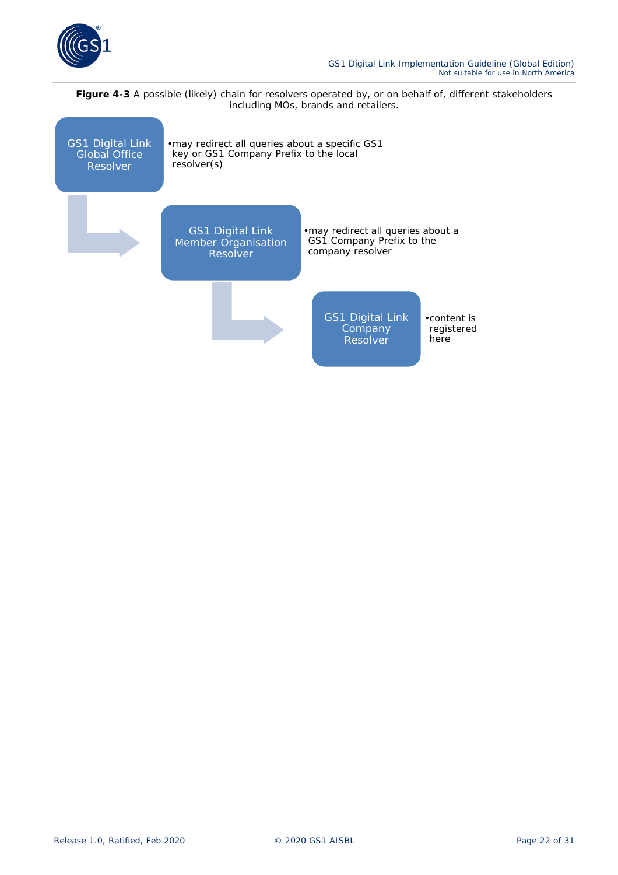

Figure 4-3 A possible (likely) chain for resolvers operated by, or on behalf of, different stakeholders including MOs, brands and retailers.

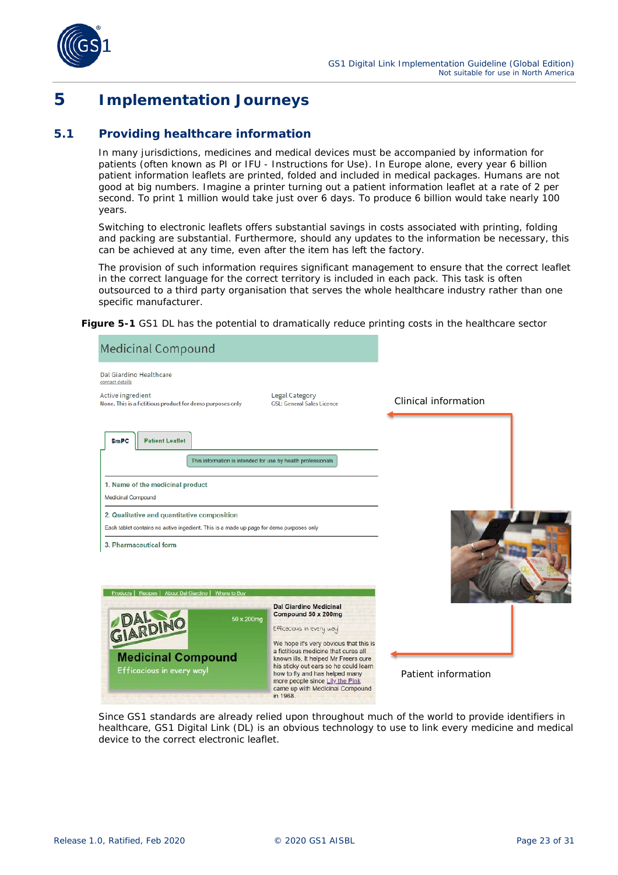

### <span id="page-22-0"></span>**5 Implementation Journeys**

#### <span id="page-22-1"></span>**5.1 Providing healthcare information**

In many jurisdictions, medicines and medical devices must be accompanied by information for patients (often known as PI or IFU - Instructions for Use). In Europe alone, every year 6 billion patient information leaflets are printed, folded and included in medical packages. Humans are not good at big numbers. Imagine a printer turning out a patient information leaflet at a rate of 2 per second. To print 1 million would take just over 6 days. To produce 6 billion would take nearly 100 years.

Switching to electronic leaflets offers substantial savings in costs associated with printing, folding and packing are substantial. Furthermore, should any updates to the information be necessary, this can be achieved at any time, even after the item has left the factory.

The provision of such information requires significant management to ensure that the correct leaflet in the correct language for the correct territory is included in each pack. This task is often outsourced to a third party organisation that serves the whole healthcare industry rather than one specific manufacturer.

**Figure 5-1** GS1 DL has the potential to dramatically reduce printing costs in the healthcare sector



Since GS1 standards are already relied upon throughout much of the world to provide identifiers in healthcare, GS1 Digital Link (DL) is an obvious technology to use to link every medicine and medical device to the correct electronic leaflet.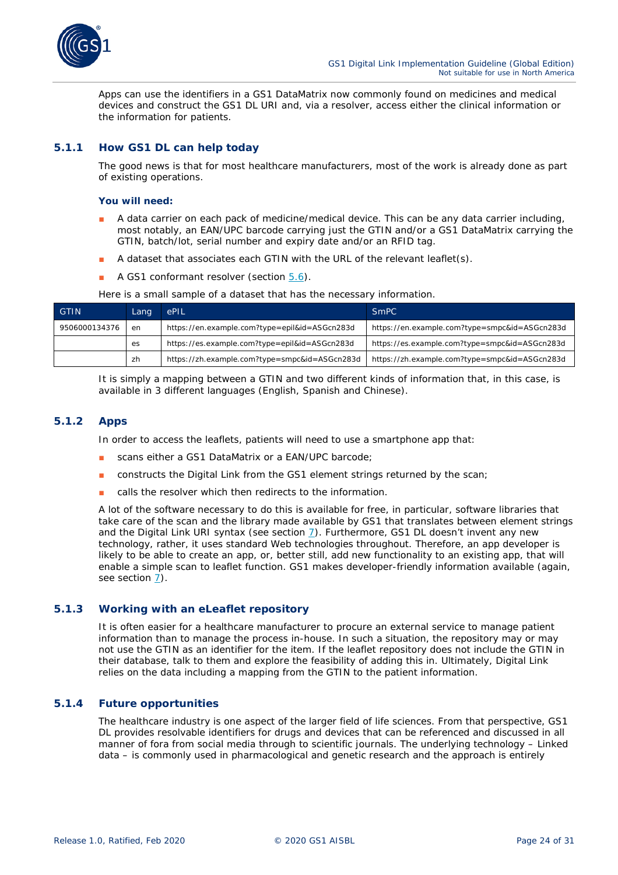

Apps can use the identifiers in a GS1 DataMatrix now commonly found on medicines and medical devices and construct the GS1 DL URI and, via a resolver, access either the clinical information or the information for patients.

#### <span id="page-23-0"></span>**5.1.1 How GS1 DL can help today**

The good news is that for most healthcare manufacturers, most of the work is already done as part of existing operations.

#### **You will need:**

- A data carrier on each pack of medicine/medical device. This can be any data carrier including, most notably, an EAN/UPC barcode carrying just the GTIN and/or a GS1 DataMatrix carrying the GTIN, batch/lot, serial number and expiry date and/or an RFID tag.
- A dataset that associates each GTIN with the URL of the relevant leaflet(s).
- A GS1 conformant resolver (section  $5.6$ ).

| <b>GTIN</b>   | Lang | <b>LePIL</b>                                  | <b>SmPC</b>                                   |
|---------------|------|-----------------------------------------------|-----------------------------------------------|
| 9506000134376 | en   | https://en.example.com?type=epil&id=ASGcn283d | https://en.example.com?type=smpc&id=ASGcn283d |
|               | es   | https://es.example.com?type=epil&id=ASGcn283d | https://es.example.com?type=smpc&id=ASGcn283d |
|               | zh   | https://zh.example.com?type=smpc&id=ASGcn283d | https://zh.example.com?type=smpc&id=ASGcn283d |

Here is a small sample of a dataset that has the necessary information.

It is simply a mapping between a GTIN and two different kinds of information that, in this case, is available in 3 different languages (English, Spanish and Chinese).

#### <span id="page-23-1"></span>**5.1.2 Apps**

In order to access the leaflets, patients will need to use a smartphone app that:

- scans either a GS1 DataMatrix or a EAN/UPC barcode;
- constructs the Digital Link from the GS1 element strings returned by the scan;
- calls the resolver which then redirects to the information.

A lot of the software necessary to do this is available for free, in particular, software libraries that take care of the scan and the library made available by GS1 that translates between element strings and the Digital Link URI syntax (see section  $Z$ ). Furthermore, GS1 DL doesn't invent any new technology, rather, it uses standard Web technologies throughout. Therefore, an app developer is likely to be able to create an app, or, better still, add new functionality to an existing app, that will enable a simple scan to leaflet function. GS1 makes developer-friendly information available (again, see section *[7](#page-29-2)*).

#### <span id="page-23-2"></span>**5.1.3 Working with an eLeaflet repository**

It is often easier for a healthcare manufacturer to procure an external service to manage patient information than to manage the process in-house. In such a situation, the repository may or may not use the GTIN as an identifier for the item. If the leaflet repository does not include the GTIN in their database, talk to them and explore the feasibility of adding this in. Ultimately, Digital Link relies on the data including a mapping from the GTIN to the patient information.

#### <span id="page-23-3"></span>**5.1.4 Future opportunities**

The healthcare industry is one aspect of the larger field of life sciences. From that perspective, GS1 DL provides resolvable identifiers for drugs and devices that can be referenced and discussed in all manner of fora from social media through to scientific journals. The underlying technology – Linked data – is commonly used in pharmacological and genetic research and the approach is entirely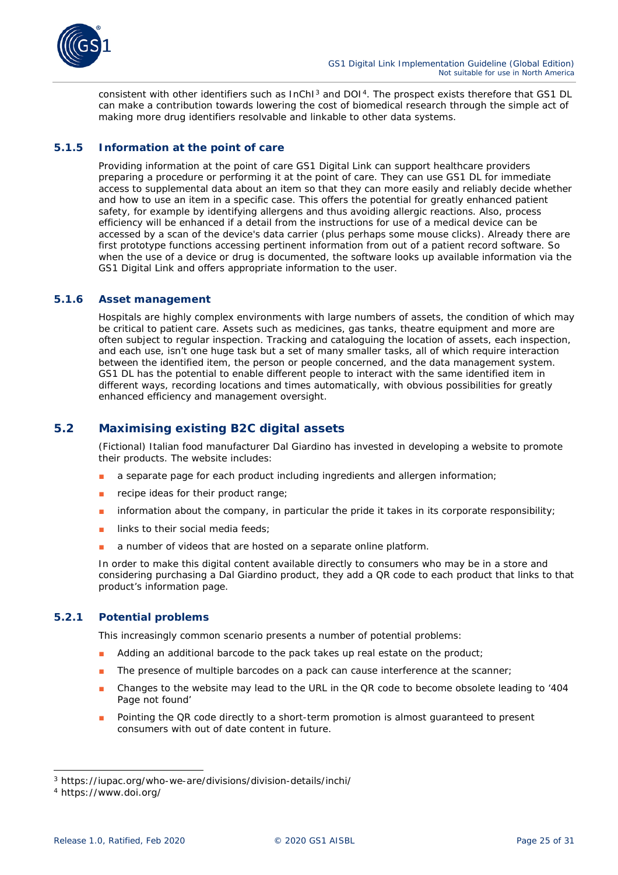

consistent with other identifiers such as InChI<sup>[3](#page-24-4)</sup> and DOI<sup>[4](#page-24-5)</sup>. The prospect exists therefore that GS1 DL can make a contribution towards lowering the cost of biomedical research through the simple act of making more drug identifiers resolvable and linkable to other data systems.

#### <span id="page-24-0"></span>**5.1.5 Information at the point of care**

Providing information at the point of care GS1 Digital Link can support healthcare providers preparing a procedure or performing it at the point of care. They can use GS1 DL for immediate access to supplemental data about an item so that they can more easily and reliably decide whether and how to use an item in a specific case. This offers the potential for greatly enhanced patient safety, for example by identifying allergens and thus avoiding allergic reactions. Also, process efficiency will be enhanced if a detail from the instructions for use of a medical device can be accessed by a scan of the device's data carrier (plus perhaps some mouse clicks). Already there are first prototype functions accessing pertinent information from out of a patient record software. So when the use of a device or drug is documented, the software looks up available information via the GS1 Digital Link and offers appropriate information to the user.

#### <span id="page-24-1"></span>**5.1.6 Asset management**

Hospitals are highly complex environments with large numbers of assets, the condition of which may be critical to patient care. Assets such as medicines, gas tanks, theatre equipment and more are often subject to regular inspection. Tracking and cataloguing the location of assets, each inspection, and each use, isn't one huge task but a set of many smaller tasks, all of which require interaction between the identified item, the person or people concerned, and the data management system. GS1 DL has the potential to enable different people to interact with the same identified item in different ways, recording locations and times automatically, with obvious possibilities for greatly enhanced efficiency and management oversight.

#### <span id="page-24-2"></span>**5.2 Maximising existing B2C digital assets**

(Fictional) Italian food manufacturer Dal Giardino has invested in developing a website to promote their products. The website includes:

- a separate page for each product including ingredients and allergen information;
- recipe ideas for their product range;
- information about the company, in particular the pride it takes in its corporate responsibility;
- links to their social media feeds;
- a number of videos that are hosted on a separate online platform.

In order to make this digital content available directly to consumers who may be in a store and considering purchasing a Dal Giardino product, they add a QR code to each product that links to that product's information page.

#### <span id="page-24-3"></span>**5.2.1 Potential problems**

This increasingly common scenario presents a number of potential problems:

- Adding an additional barcode to the pack takes up real estate on the product;
- The presence of multiple barcodes on a pack can cause interference at the scanner;
- Changes to the website may lead to the URL in the QR code to become obsolete leading to '404 Page not found'
- Pointing the QR code directly to a short-term promotion is almost guaranteed to present consumers with out of date content in future.

<span id="page-24-4"></span><sup>3</sup> https://iupac.org/who-we-are/divisions/division-details/inchi/

<span id="page-24-5"></span><sup>4</sup> https://www.doi.org/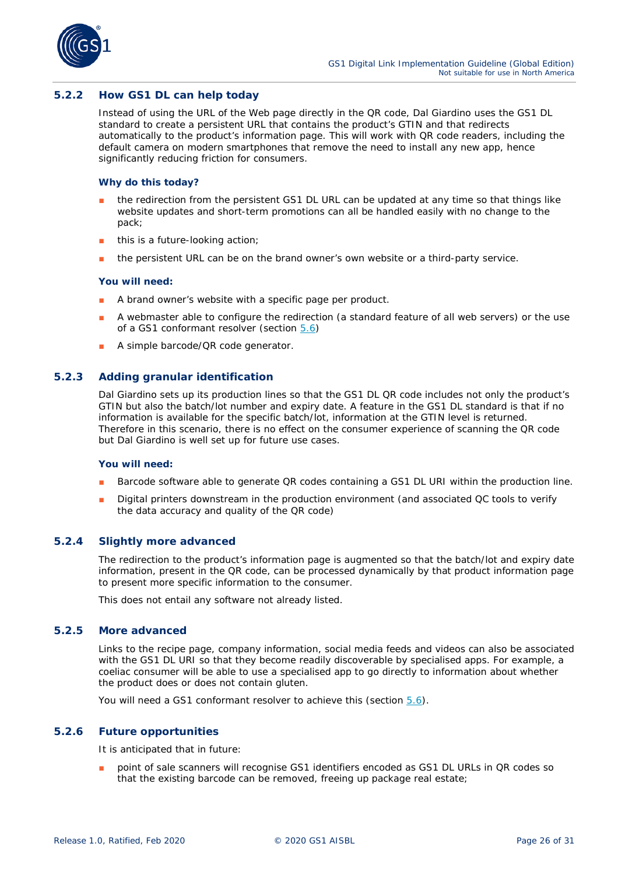

#### <span id="page-25-0"></span>**5.2.2 How GS1 DL can help today**

Instead of using the URL of the Web page directly in the QR code, Dal Giardino uses the GS1 DL standard to create a *persistent URL* that contains the product's GTIN and that redirects automatically to the product's information page. This will work with QR code readers, including the default camera on modern smartphones that remove the need to install any new app, hence significantly reducing friction for consumers.

#### **Why do this today?**

- the redirection from the persistent GS1 DL URL can be updated at any time so that things like website updates and short-term promotions can all be handled easily with no change to the pack;
- this is a future-looking action;
- the persistent URL can be on the brand owner's own website or a third-party service.

#### **You will need:**

- A brand owner's website with a specific page per product.
- A webmaster able to configure the redirection (a standard feature of all web servers) or the use of a GS1 conformant resolver (section *[5.6](#page-27-4)*)
- A simple barcode/QR code generator.

#### <span id="page-25-1"></span>**5.2.3 Adding granular identification**

Dal Giardino sets up its production lines so that the GS1 DL QR code includes not only the product's GTIN but also the batch/lot number and expiry date. A feature in the GS1 DL standard is that if no information is available for the specific batch/lot, information at the GTIN level is returned. Therefore in this scenario, there is no effect on the consumer experience of scanning the QR code but Dal Giardino is well set up for future use cases.

#### **You will need:**

- Barcode software able to generate QR codes containing a GS1 DL URI within the production line.
- Digital printers downstream in the production environment (and associated QC tools to verify the data accuracy and quality of the QR code)

#### <span id="page-25-2"></span>**5.2.4 Slightly more advanced**

The redirection to the product's information page is augmented so that the batch/lot and expiry date information, present in the QR code, can be processed dynamically by that product information page to present more specific information to the consumer.

This does not entail any software not already listed.

#### <span id="page-25-3"></span>**5.2.5 More advanced**

Links to the recipe page, company information, social media feeds and videos can also be associated with the GS1 DL URI so that they become readily discoverable by specialised apps. For example, a coeliac consumer will be able to use a specialised app to go directly to information about whether the product does or does not contain gluten.

You will need a GS1 conformant resolver to achieve this (section *[5.6](#page-27-4)*).

#### <span id="page-25-4"></span>**5.2.6 Future opportunities**

It is anticipated that in future:

point of sale scanners will recognise GS1 identifiers encoded as GS1 DL URLs in QR codes so that the existing barcode can be removed, freeing up package real estate;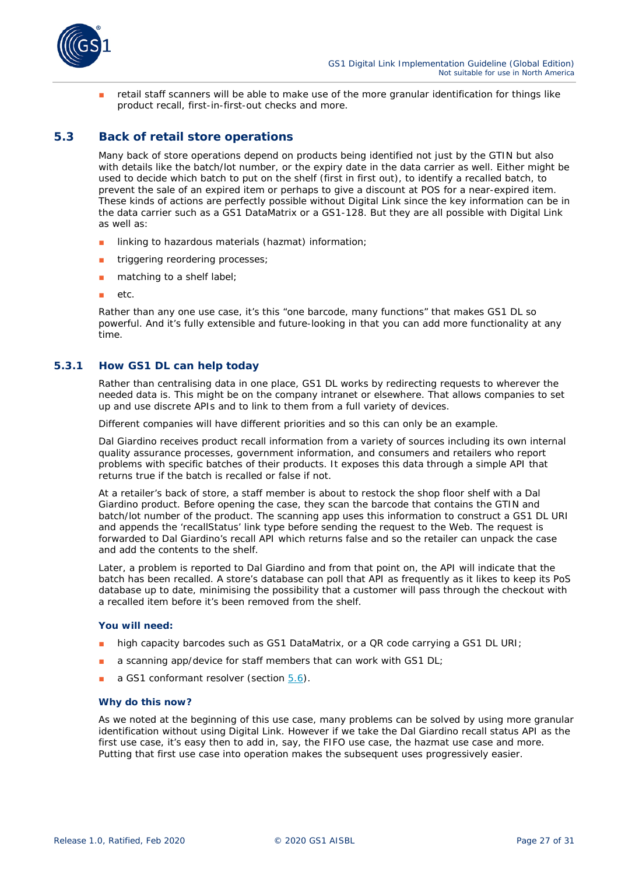

retail staff scanners will be able to make use of the more granular identification for things like product recall, first-in-first-out checks and more.

#### <span id="page-26-0"></span>**5.3 Back of retail store operations**

Many back of store operations depend on products being identified not just by the GTIN but also with details like the batch/lot number, or the expiry date in the data carrier as well. Either might be used to decide which batch to put on the shelf (first in first out), to identify a recalled batch, to prevent the sale of an expired item or perhaps to give a discount at POS for a near-expired item. These kinds of actions are perfectly possible without Digital Link since the key information can be in the data carrier such as a GS1 DataMatrix or a GS1-128. But they are all possible *with* Digital Link as well as:

- linking to hazardous materials (hazmat) information;
- triggering reordering processes;
- matching to a shelf label;
- etc.

Rather than any one use case, it's this "one barcode, many functions" that makes GS1 DL so powerful. And it's fully extensible and future-looking in that you can add more functionality at any time.

#### <span id="page-26-1"></span>**5.3.1 How GS1 DL can help today**

Rather than centralising data in one place, GS1 DL works by redirecting requests to wherever the needed data is. This might be on the company intranet or elsewhere. That allows companies to set up and use discrete APIs and to link to them from a full variety of devices.

Different companies will have different priorities and so this can only be an example.

Dal Giardino receives product recall information from a variety of sources including its own internal quality assurance processes, government information, and consumers and retailers who report problems with specific batches of their products. It exposes this data through a simple API that returns true if the batch is recalled or false if not.

At a retailer's back of store, a staff member is about to restock the shop floor shelf with a Dal Giardino product. Before opening the case, they scan the barcode that contains the GTIN and batch/lot number of the product. The scanning app uses this information to construct a GS1 DL URI and appends the 'recallStatus' link type before sending the request to the Web. The request is forwarded to Dal Giardino's recall API which returns false and so the retailer can unpack the case and add the contents to the shelf.

Later, a problem is reported to Dal Giardino and from that point on, the API will indicate that the batch has been recalled. A store's database can poll that API as frequently as it likes to keep its PoS database up to date, minimising the possibility that a customer will pass through the checkout with a recalled item before it's been removed from the shelf.

#### **You will need:**

- high capacity barcodes such as GS1 DataMatrix, or a QR code carrying a GS1 DL URI;
- a scanning app/device for staff members that can work with GS1 DL;
- a GS1 conformant resolver (section [5.6](#page-27-4)).

#### **Why do this now?**

As we noted at the beginning of this use case, many problems can be solved by using more granular identification without using Digital Link. However if we take the Dal Giardino recall status API as the first use case, it's easy then to add in, say, the FIFO use case, the hazmat use case and more. Putting that first use case into operation makes the subsequent uses progressively easier.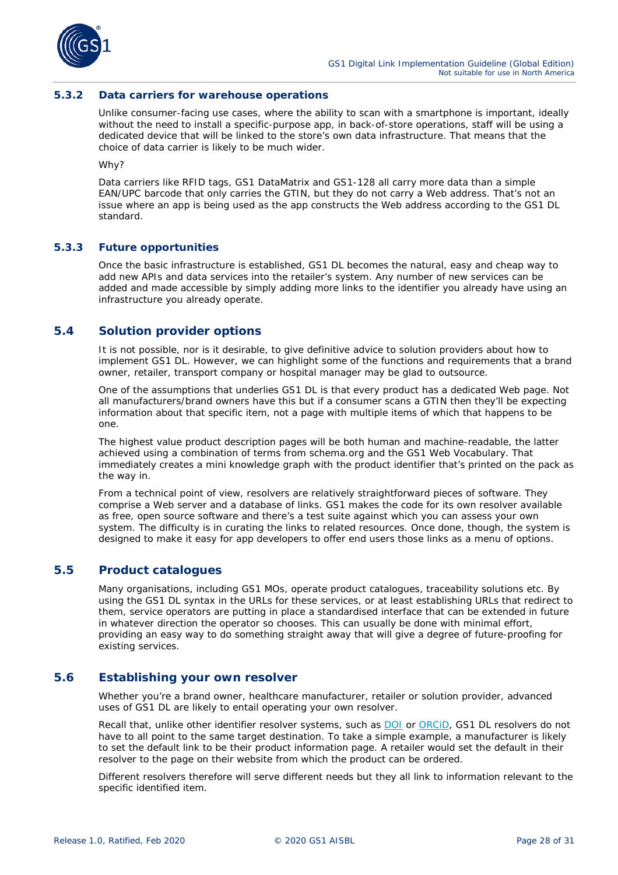

#### <span id="page-27-0"></span>**5.3.2 Data carriers for warehouse operations**

Unlike consumer-facing use cases, where the ability to scan with a smartphone is important, ideally without the need to install a specific-purpose app, in back-of-store operations, staff will be using a dedicated device that will be linked to the store's own data infrastructure. That means that the choice of data carrier is likely to be much wider.

Why?

Data carriers like RFID tags, GS1 DataMatrix and GS1-128 all carry more data than a simple EAN/UPC barcode that only carries the GTIN, but they do not carry a Web address. That's not an issue where an app is being used as the app constructs the Web address according to the GS1 DL standard.

#### <span id="page-27-1"></span>**5.3.3 Future opportunities**

Once the basic infrastructure is established, GS1 DL becomes the natural, easy and cheap way to add new APIs and data services into the retailer's system. Any number of new services can be added and made accessible by simply adding more links to the identifier you already have using an infrastructure you already operate.

#### <span id="page-27-2"></span>**5.4 Solution provider options**

It is not possible, nor is it desirable, to give definitive advice to solution providers about how to implement GS1 DL. However, we can highlight some of the functions and requirements that a brand owner, retailer, transport company or hospital manager may be glad to outsource.

One of the assumptions that underlies GS1 DL is that every product has a dedicated Web page. Not all manufacturers/brand owners have this but if a consumer scans a GTIN then they'll be expecting information about that specific item, not a page with multiple items of which that happens to be one.

The highest value product description pages will be both human and machine-readable, the latter achieved using a combination of terms from schema.org and the GS1 Web Vocabulary. That immediately creates a mini knowledge graph with the product identifier that's printed on the pack as the way in.

From a technical point of view, resolvers are relatively straightforward pieces of software. They comprise a Web server and a database of links. GS1 makes the code for its own resolver available as free, open source software and there's a test suite against which you can assess your own system. The difficulty is in curating the links to related resources. Once done, though, the system is designed to make it easy for app developers to offer end users those links as a menu of options.

#### <span id="page-27-3"></span>**5.5 Product catalogues**

Many organisations, including GS1 MOs, operate product catalogues, traceability solutions etc. By using the GS1 DL syntax in the URLs for these services, or at least establishing URLs that redirect to them, service operators are putting in place a standardised interface that can be extended in future in whatever direction the operator so chooses. This can usually be done with minimal effort, providing an easy way to do something straight away that will give a degree of future-proofing for existing services.

#### <span id="page-27-4"></span>**5.6 Establishing your own resolver**

Whether you're a brand owner, healthcare manufacturer, retailer or solution provider, advanced uses of GS1 DL are likely to entail operating your own resolver.

Recall that, unlike other identifier resolver systems, such as [DOI](https://www.doi.org/) or ORCID, GS1 DL resolvers do not have to all point to the same target destination. To take a simple example, a manufacturer is likely to set the default link to be their product information page. A retailer would set the default in their resolver to the page on their website from which the product can be ordered.

Different resolvers therefore will serve different needs but they all link to information relevant to the specific identified item.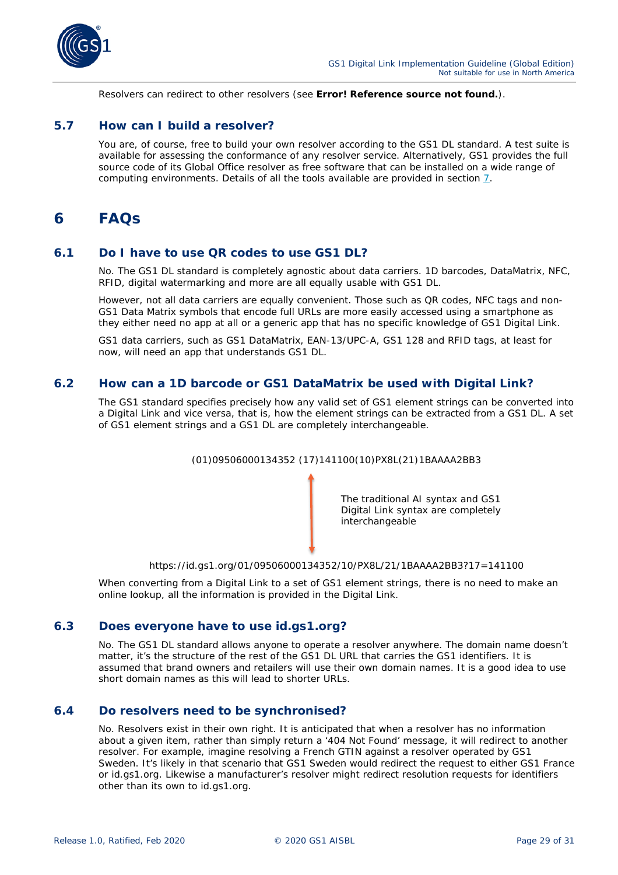

Resolvers can redirect to other resolvers (see **Error! Reference source not found.**).

#### <span id="page-28-0"></span>**5.7 How can I build a resolver?**

You are, of course, free to build your own resolver according to the GS1 DL standard. A test suite is available for assessing the conformance of any resolver service. Alternatively, GS1 provides the full source code of its Global Office resolver as free software that can be installed on a wide range of computing environments. Details of all the tools available are provided in section *[7](#page-29-2)*.

### <span id="page-28-1"></span>**6 FAQs**

#### <span id="page-28-2"></span>**6.1 Do I have to use QR codes to use GS1 DL?**

No. The GS1 DL standard is completely agnostic about data carriers. 1D barcodes, DataMatrix, NFC, RFID, digital watermarking and more are all equally usable with GS1 DL.

However, not all data carriers are equally convenient. Those such as QR codes, NFC tags and non-GS1 Data Matrix symbols that encode full URLs are more easily accessed using a smartphone as they either need no app at all or a generic app that has no specific knowledge of GS1 Digital Link.

GS1 data carriers, such as GS1 DataMatrix, EAN-13/UPC-A, GS1 128 and RFID tags, at least for now, will need an app that understands GS1 DL.

#### <span id="page-28-3"></span>**6.2 How can a 1D barcode or GS1 DataMatrix be used with Digital Link?**

The GS1 standard specifies precisely how any valid set of GS1 element strings can be converted into a Digital Link and vice versa, that is, how the element strings can be extracted from a GS1 DL. A set of GS1 element strings and a GS1 DL are completely interchangeable.



https://id.gs1.org/01/09506000134352/10/PX8L/21/1BAAAA2BB3?17=141100

When converting from a Digital Link to a set of GS1 element strings, there is no need to make an online lookup, all the information is provided in the Digital Link.

#### <span id="page-28-4"></span>**6.3 Does everyone have to use id.gs1.org?**

No. The GS1 DL standard allows anyone to operate a resolver anywhere. The domain name doesn't matter, it's the structure of the rest of the GS1 DL URL that carries the GS1 identifiers. It is assumed that brand owners and retailers will use their own domain names. It is a good idea to use short domain names as this will lead to shorter URLs.

#### <span id="page-28-5"></span>**6.4 Do resolvers need to be synchronised?**

No. Resolvers exist in their own right. It is anticipated that when a resolver has no information about a given item, rather than simply return a '404 Not Found' message, it will redirect to another resolver. For example, imagine resolving a French GTIN against a resolver operated by GS1 Sweden. It's likely in that scenario that GS1 Sweden would redirect the request to either GS1 France or id.gs1.org. Likewise a manufacturer's resolver might redirect resolution requests for identifiers other than its own to id.gs1.org.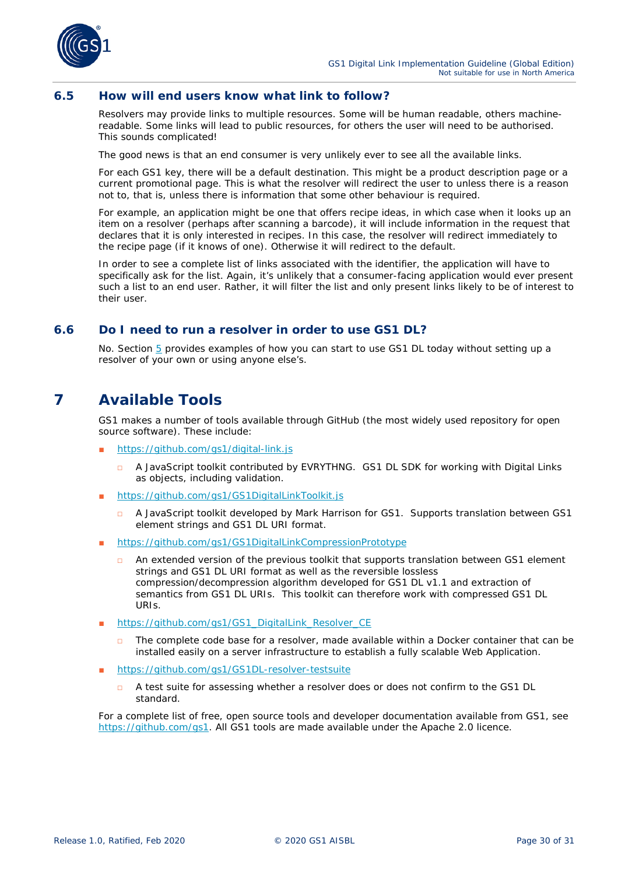

#### <span id="page-29-0"></span>**6.5 How will end users know what link to follow?**

Resolvers may provide links to multiple resources. Some will be human readable, others machinereadable. Some links will lead to public resources, for others the user will need to be authorised. This sounds complicated!

The good news is that an end consumer is very unlikely ever to see all the available links.

For each GS1 key, there will be a default destination. This might be a product description page or a current promotional page. This is what the resolver will redirect the user to unless there is a reason not to, that is, unless there is information that some other behaviour is required.

For example, an application might be one that offers recipe ideas, in which case when it looks up an item on a resolver (perhaps after scanning a barcode), it will include information in the request that declares that it is only interested in recipes. In this case, the resolver will redirect immediately to the recipe page (if it knows of one). Otherwise it will redirect to the default.

In order to see a complete list of links associated with the identifier, the application will have to specifically ask for the list. Again, it's unlikely that a consumer-facing application would ever present such a list to an end user. Rather, it will filter the list and only present links likely to be of interest to their user.

#### <span id="page-29-1"></span>**6.6 Do I need to run a resolver in order to use GS1 DL?**

No. Section *[5](#page-22-0)* provides examples of how you can start to use GS1 DL today without setting up a resolver of your own or using anyone else's.

### <span id="page-29-2"></span>**7 Available Tools**

GS1 makes a number of tools available through GitHub (the most widely used repository for open source software). These include:

- *<https://github.com/gs1/digital-link.js>*
	- □ A JavaScript toolkit contributed by EVRYTHNG. GS1 DL SDK for working with Digital Links as objects, including validation.
- *<https://github.com/gs1/GS1DigitalLinkToolkit.js>*
	- A JavaScript toolkit developed by Mark Harrison for GS1. Supports translation between GS1 element strings and GS1 DL URI format.
- *<https://github.com/gs1/GS1DigitalLinkCompressionPrototype>*
	- □ An extended version of the previous toolkit that supports translation between GS1 element strings and GS1 DL URI format as well as the reversible lossless compression/decompression algorithm developed for GS1 DL v1.1 and extraction of semantics from GS1 DL URIs. This toolkit can therefore work with compressed GS1 DL URIs.
- *[https://github.com/gs1/GS1\\_DigitalLink\\_Resolver\\_CE](https://github.com/gs1/GS1_DigitalLink_Resolver_CE)*
	- The complete code base for a resolver, made available within a Docker container that can be installed easily on a server infrastructure to establish a fully scalable Web Application.
- *<https://github.com/gs1/GS1DL-resolver-testsuite>*
	- □ A test suite for assessing whether a resolver does or does not confirm to the GS1 DL standard.

For a complete list of free, open source tools and developer documentation available from GS1, see *<https://github.com/gs1>*. All GS1 tools are made available under the Apache 2.0 licence.